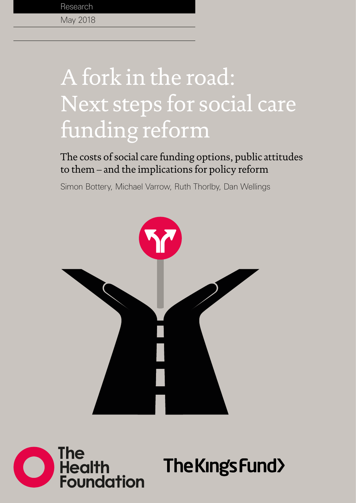# A fork in the road: Next steps for social care funding reform

The costs of social care funding options, public attitudes to them – and the implications for policy reform

Simon Bottery, Michael Varrow, Ruth Thorlby, Dan Wellings





The King's Fund>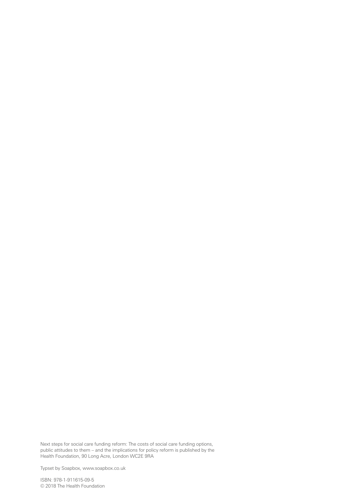Next steps for social care funding reform: The costs of social care funding options, public attitudes to them – and the implications for policy reform is published by the Health Foundation, 90 Long Acre, London WC2E 9RA

Typset by Soapbox, [www.soapbox.co.uk](http://www.soapbox.co.uk)

ISBN: 978-1-911615-09-5 © 2018 The Health Foundation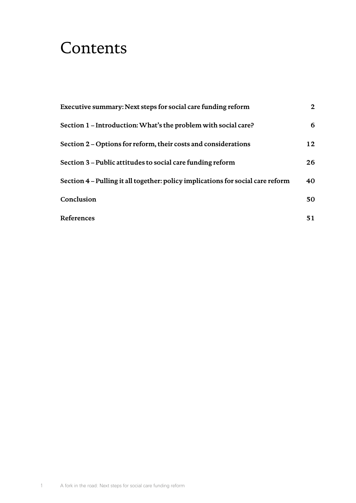## **Contents**

| Executive summary: Next steps for social care funding reform                    | $\mathbf{2}$ |
|---------------------------------------------------------------------------------|--------------|
| Section 1 – Introduction: What's the problem with social care?                  | 6            |
| Section 2 – Options for reform, their costs and considerations                  | 12           |
| Section 3 – Public attitudes to social care funding reform                      | 26           |
| Section 4 – Pulling it all together: policy implications for social care reform | 40           |
| Conclusion                                                                      | 50           |
| References                                                                      | 51           |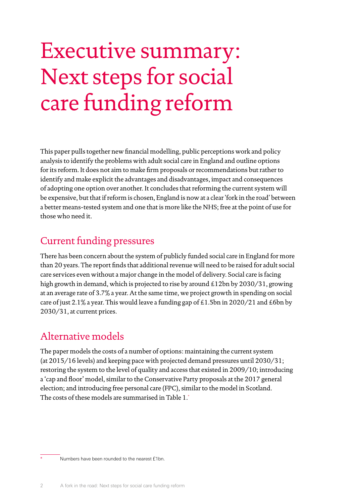## <span id="page-3-0"></span>Executive summary: Next steps for social care funding reform

This paper pulls together new financial modelling, public perceptions work and policy analysis to identify the problems with adult social care in England and outline options for its reform. It does not aim to make firm proposals or recommendations but rather to identify and make explicit the advantages and disadvantages, impact and consequences of adopting one option over another. It concludes that reforming the current system will be expensive, but that if reform is chosen, England is now at a clear 'fork in the road' between a better means-tested system and one that is more like the NHS; free at the point of use for those who need it.

## Current funding pressures

There has been concern about the system of publicly funded social care in England for more than 20 years. The report finds that additional revenue will need to be raised for adult social care services even without a major change in the model of delivery. Social care is facing high growth in demand, which is projected to rise by around £12bn by 2030/31, growing at an average rate of 3.7% a year. At the same time, we project growth in spending on social care of just 2.1% a year. This would leave a funding gap of £1.5bn in 2020/21 and £6bn by 2030/31, at current prices.

## Alternative models

The paper models the costs of a number of options: maintaining the current system (at 2015/16 levels) and keeping pace with projected demand pressures until 2030/31; restoring the system to the level of quality and access that existed in 2009/10; introducing a 'cap and floor' model, similar to the Conservative Party proposals at the 2017 general election; and introducing free personal care (FPC), similar to the model in Scotland. The costs of these models are summarised in Table 1.\*

Numbers have been rounded to the nearest £1bn.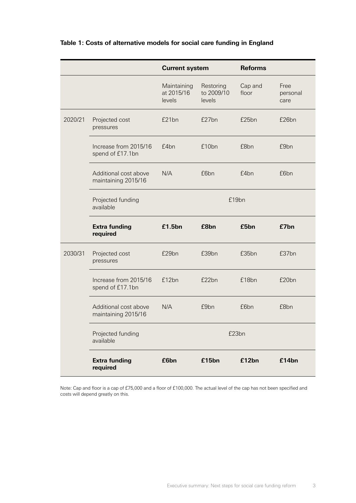|         |                                              | <b>Current system</b>               |                                   | <b>Reforms</b>   |                          |
|---------|----------------------------------------------|-------------------------------------|-----------------------------------|------------------|--------------------------|
|         |                                              | Maintaining<br>at 2015/16<br>levels | Restoring<br>to 2009/10<br>levels | Cap and<br>floor | Free<br>personal<br>care |
| 2020/21 | Projected cost<br>pressures                  | £21bn                               | £27bn                             | £25bn            | £26bn                    |
|         | Increase from 2015/16<br>spend of £17.1bn    | £4bn                                | £10bn                             | £8bn             | £9bn                     |
|         | Additional cost above<br>maintaining 2015/16 | N/A                                 | £6bn                              | £4bn             | £6bn                     |
|         | Projected funding<br>available               | £19bn                               |                                   |                  |                          |
|         | <b>Extra funding</b><br>required             | £1.5bn                              | £8bn                              | £5bn             | £7bn                     |
| 2030/31 | Projected cost<br>pressures                  | £29bn                               | £39bn                             | £35bn            | £37bn                    |
|         | Increase from 2015/16<br>spend of £17.1bn    | £12bn                               | £22bn                             | £18bn            | £20bn                    |
|         | Additional cost above<br>maintaining 2015/16 | N/A                                 | £9bn                              | £6bn             | £8bn                     |
|         | Projected funding<br>available               | £23bn                               |                                   |                  |                          |
|         | <b>Extra funding</b><br>required             | £6bn                                | £15bn                             | £12bn            | £14bn                    |

#### **Table 1: Costs of alternative models for social care funding in England**

Note: Cap and floor is a cap of £75,000 and a floor of £100,000. The actual level of the cap has not been specified and costs will depend greatly on this.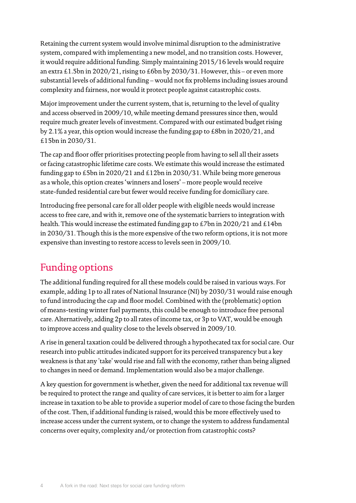Retaining the current system would involve minimal disruption to the administrative system, compared with implementing a new model, and no transition costs. However, it would require additional funding. Simply maintaining 2015/16 levels would require an extra  $\pm 1.5$ bn in 2020/21, rising to  $\pm 6$ bn by 2030/31. However, this – or even more substantial levels of additional funding – would not fix problems including issues around complexity and fairness, nor would it protect people against catastrophic costs.

Major improvement under the current system, that is, returning to the level of quality and access observed in 2009/10, while meeting demand pressures since then, would require much greater levels of investment. Compared with our estimated budget rising by 2.1% a year, this option would increase the funding gap to £8bn in 2020/21, and £15bn in 2030/31.

The cap and floor offer prioritises protecting people from having to sell all their assets orfacing catastrophic lifetime care costs. We estimate this would increase the estimated funding gap to £5bn in 2020/21 and £12bn in 2030/31. While being more generous as a whole, this option creates 'winners and losers' – more people would receive state-funded residential care but fewer would receive funding for domiciliary care.

Introducing free personal care for all older people with eligible needs would increase access to free care, and with it, remove one of the systematic barriers to integration with health. This would increase the estimated funding gap to £7bn in 2020/21 and £14bn in 2030/31. Though this is the more expensive of the two reform options, it is not more expensive than investing to restore access to levels seen in 2009/10.

## Funding options

The additional funding required for all these models could be raised in various ways. For example, adding 1p to all rates of National Insurance (NI) by 2030/31 would raise enough to fund introducing the cap and floor model. Combined with the (problematic) option of means-testing winter fuel payments, this could be enough to introduce free personal care. Alternatively, adding 2p to all rates of income tax, or 3p to VAT, would be enough to improve access and quality close to the levels observed in 2009/10.

A rise in general taxation could be delivered through a hypothecated tax for social care. Our research into public attitudes indicated support for its perceived transparency but a key weakness is that any 'take' would rise and fall with the economy, rather than being aligned to changes in need or demand. Implementation would also be a major challenge.

A key question for government is whether, given the need for additional tax revenue will be required to protect the range and quality of care services, it is better to aim for a larger increase in taxation to be able to provide a superior model of care to those facing the burden of the cost. Then, if additional funding is raised, would this be more effectively used to increase access under the current system, or to change the system to address fundamental concerns over equity, complexity and/or protection from catastrophic costs?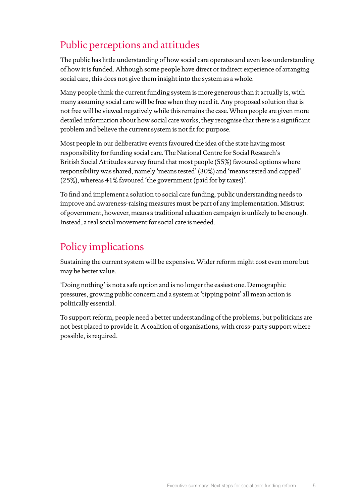## Public perceptions and attitudes

The public has little understanding of how social care operates and even less understanding of how it is funded. Although some people have direct orindirect experience of arranging social care, this does not give them insight into the system as a whole.

Many people think the current funding system is more generous than it actually is, with many assuming social care will be free when they need it. Any proposed solution that is not free will be viewed negatively while this remains the case. When people are given more detailed information about how social care works, they recognise that there is a significant problem and believe the current system is not fit for purpose.

Most people in our deliberative events favoured the idea of the state having most responsibility for funding social care. The National Centre for Social Research's British Social Attitudes survey found that most people (55%) favoured options where responsibility was shared, namely 'means tested' (30%) and 'means tested and capped' (25%), whereas 41% favoured 'the government (paid for by taxes)'.

To find and implement a solution to social care funding, public understanding needs to improve and awareness-raising measures must be part of any implementation. Mistrust of government, however, means a traditional education campaign is unlikely to be enough. Instead, a real social movement for social care is needed.

## Policy implications

Sustaining the current system will be expensive. Wider reform might cost even more but may be better value.

'Doing nothing' is not a safe option and is no longer the easiest one. Demographic pressures, growing public concern and a system at 'tipping point' all mean action is politically essential.

To support reform, people need a better understanding of the problems, but politicians are not best placed to provide it. A coalition of organisations, with cross-party support where possible, is required.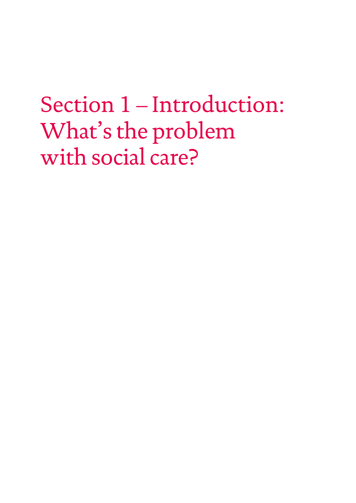## <span id="page-7-0"></span>Section 1 – Introduction: What's the problem with social care?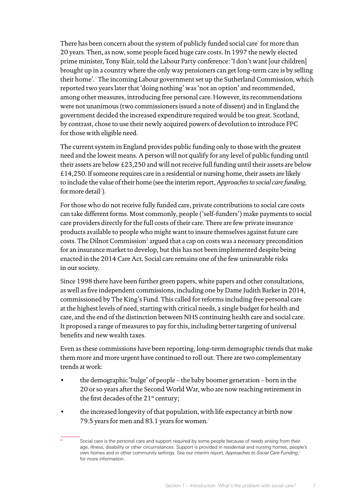There has been concern about the system of publicly funded social care\* for more than 20 years. Then, as now, some people faced huge care costs. In 1997 the newly elected prime minister, Tony Blair, told the Labour Party conference: 'I don't want [our children] brought up in a country where the only way pensioners can get long-term care is by selling their home'.[1](#page-52-1) The incoming Labour government set up the Sutherland Commission, which reported two years later that 'doing nothing' was 'not an option' and recommended, among other measures, introducing free personal care. However, its recommendations were not unanimous (two commissioners issued a note of dissent) and in England the government decided the increased expenditure required would be too great. Scotland, by contrast, chose to use their newly acquired powers of devolution to introduce FPC for those with eligible need.

The current system in England provides public funding only to those with the greatest need and the lowest means. A person will not qualify for any level of public funding until their assets are below £23,250 and will not receive full funding until their assets are below £14,250. If someone requires care in a residential or nursing home, their assets are likely to include the value oftheir home (see the interim report, *Approaches to social care funding,* for more detail<sup>[2](#page-52-2)</sup>).

For those who do not receive fully funded care, private contributions to social care costs can take different forms. Most commonly, people ('self-funders') make payments to social care providers directly for the full costs of their care. There are few private insurance products available to people who might want to insure themselves against future care costs. The Dilnot Commission $3$  argued that a cap on costs was a necessary precondition for an insurance market to develop, but this has not been implemented despite being enacted in the 2014 Care Act. Social care remains one of the few uninsurable risks in our society.

Since 1998 there have been further green papers, white papers and other consultations, as well as five independent commissions, including one by Dame Judith Barker in 2014, commissioned by The King's Fund. This called for reforms including free personal care at the highest levels of need, starting with critical needs, a single budget for health and care, and the end of the distinction between NHS continuing health care and social care. It proposed a range of measures to pay for this, including better targeting of universal benefits and new wealth taxes.

Even as these commissions have been reporting, long-term demographic trends that make them more and more urgent have continued to roll out. There are two complementary trends at work:

- the demographic 'bulge' of people the baby boomer generation born in the 20 or so years after the Second World War, who are now reaching retirement in the first decades of the 21<sup>st</sup> century;
- the increased longevity of that population, with life expectancy at birth now 79.5 [years for men and 83.1 years for women](https://www.ons.gov.uk/peoplepopulationandcommunity/birthsdeathsandmarriages/lifeexpectancies/bulletins/nationallifetablesunitedkingdom/2014to2016).<sup>1</sup>

Social care is the personal care and support required by some people because of needs arising from their age, illness, disability or other circumstances. Support is provided in residential and nursing homes, people's own homes and in other community settings. See our interim report, *Approaches to Social Care Funding*, [2](#page-52-2) for more information.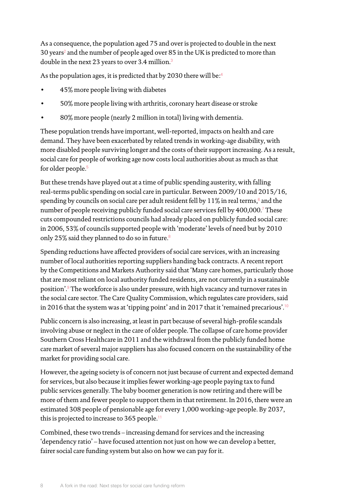As a consequence, the population aged 75 and overis projected to double in the next  $30$  years<sup>2</sup> and the number of people aged over 85 in the UK is predicted to more than double in the next 23 years to over 3.4 million.<sup>3</sup>

As the population ages, it is predicted that by 2030 there will be:<sup>4</sup>

- 45% more people living with diabetes
- 50% more people living with arthritis, coronary heart disease or stroke
- 80% more people (nearly 2 million in total) living with dementia.

These population trends have important, well-reported, impacts on health and care demand. They have been exacerbated by related trends in working-age disability, with more disabled people surviving longer and the costs of their support increasing. As a result, social care for people of working age now costs local authorities about as much as that for older people.<sup>5</sup>

But these trends have played out at a time of public spending austerity, with falling real-terms public spending on social care in particular. Between 2009/10 and 2015/16, spending by councils on social care per adult resident fell by  $11\%$  in real terms, $^{\circ}$  and the number of people receiving publicly funded social care services fell by 400,000.<sup>7</sup> These cuts compounded restrictions councils had already placed on publicly funded social care: in 2006, 53% of councils supported people with 'moderate' levels of need but by 2010 only 25% said they planned to do so in future.<sup>8</sup>

Spending reductions have affected providers of social care services, with an increasing number of local authorities reporting suppliers handing back contracts. A recent report by the Competitions and Markets Authority said that 'Many care homes, particularly those that are most reliant on local authority funded residents, are not currently in a sustainable position'.<sup>9</sup> The workforce is also under pressure, with high vacancy and turnover rates in the social care sector. The Care Quality Commission, which regulates care providers, said in 2016 that the system was at 'tipping point' and in 2017 that it 'remained precarious'.<sup>10</sup>

Public concern is also increasing, at least in part because of several high-profile scandals involving abuse or neglect in the care of older people. The collapse of care home provider Southern Cross Healthcare in 2011 and the withdrawal from the publicly funded home care market of several major suppliers has also focused concern on the sustainability of the market for providing social care.

However, the ageing society is of concern not just because of current and expected demand for services, but also because it implies fewer working-age people paying tax to fund public services generally. The baby boomer generation is now retiring and there will be more of them and fewer people to support them in that retirement. In 2016, [there were an](https://www.ons.gov.uk/peoplepopulationandcommunity/populationandmigration/populationestimates/articles/overviewoftheukpopulation/mar2017)  [estimated](https://www.ons.gov.uk/peoplepopulationandcommunity/populationandmigration/populationestimates/articles/overviewoftheukpopulation/mar2017) 308 people of pensionable age for every 1,000 working-age people. By 2037, this is projected to increase to 365 people.<sup>11</sup>

Combined, these two trends – increasing demand for services and the increasing 'dependency ratio' – have focused attention not just on how we can develop a better, fairer social care funding system but also on how we can pay for it.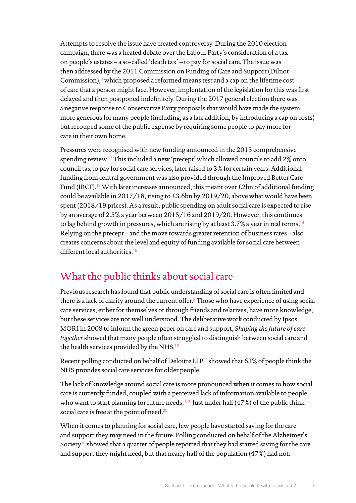Attempts to resolve the issue have created controversy. During the 2010 election campaign, there was a heated debate over the Labour Party's consideration of a tax on people's estates – a so-called 'death tax' – to pay for social care. The issue was then addressed by the 2011 Commission on Funding of Care and Support (Dilnot Commission),<sup>3</sup> which proposed a reformed means test and a cap on the lifetime cost of care that a person might face. However, implentation of the legislation for this was first delayed and then postponed indefinitely. During the 2017 general election there was a negative response to Conservative Party proposals that would have made the system more generous for many people (including, as a late addition, by introducing a cap on costs) but recouped some of the public expense by requiring some people to pay more for care in their own home.

Pressures were recognised with new funding announced in the 2015 comprehensive spending review.<sup>12</sup> This included a new 'precept' which allowed councils to add 2% onto council tax to pay for social care services, later raised to 3% for certain years. Additional funding from central government was also provided through the Improved Better Care Fund (IBCF).<sup>13</sup> With later increases announced, this meant over £2bn of additional funding could be available in 2017/18, rising to £3.6bn by 2019/20, above what would have been spent (2018/19 prices). As a result, public spending on adult social care is expected to rise by an average of 2.5% a year between 2015/16 and 2019/20. However, this continues to lag behind growth in pressures, which are rising by at least 3.7% a year in real terms.<sup>14</sup> Relying on the precept – and the move towards greater retention of business rates – also creates concerns about the level and equity of funding available for social care between different local authorities.<sup>15</sup>

## What the public thinks about social care

Previous research has found that public understanding of social care is often limited and there is a lack of clarity around the current offer.<sup>2</sup> Those who have experience of using social care services, either for themselves or through friends and relatives, have more knowledge, but these services are not well understood. The deliberative work conducted by Ipsos MORI in 2008 to inform the green paper on care and support, *Shaping the future of care together* showed that many people often struggled to distinguish between social care and the health services provided by the NHS.<sup>16</sup>

Recent [polling conducted on](https://www.ipsos.com/ipsos-mori/en-uk/public-perceptions-austerity-social-care-and-personal-data) behalf of Deloitte LLP<sup>17</sup> showed that 63% of people think the NHS provides social care services for older people.

The lack of knowledge around social care is more pronounced when it comes to how social care is currently funded, coupled with a perceived lack of information available to people who want to start planning for future needs.<sup>3,20</sup> Just under half (47%) of the public think social care is free at the point of need.<sup>20</sup>

When it comes to planning for social care, few people have started saving for the care and support they may need in the future. Polling conducted on behalf of the Alzheimer's Society<sup>18</sup> showed that a quarter of people reported that they had started saving for the care and support they might need, but that nearly half of the population (47%) had not.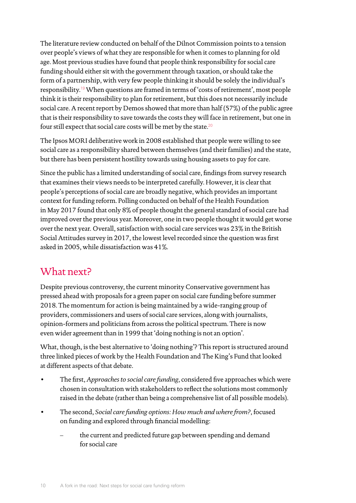The literature review conducted on behalf of the Dilnot Commission points to a tension over people's views of what they are responsible for when it comes to planning for old age. [Most previous studies](https://www.kingsfund.org.uk/blog/2016/02/public-fund-social-care) have found that people think responsibility for social care funding should either sit with the government through taxation, or should take the form of a partnership, with very few people thinking it should be solely the individual's responsibility.<sup>19</sup> When questions are framed in terms of 'costs of retirement', most people think it is their responsibility to plan for retirement, but this does not necessarily include social care. A recent report by Demos showed that more than half (57%) of the public agree that is their responsibility to save towards the costs they will face in retirement, but one in four still expect that social care costs will be met by the state.<sup>20</sup>

The Ipsos MORI deliberative work in 2008 established that people were willing to see social care as a responsibility shared between themselves (and their families) and the state, but there has been persistent hostility towards using housing assets to pay for care.

Since the public has a limited understanding of social care, findings from survey research that examines their views needs to be interpreted carefully. However, it is clear that people's perceptions of social care are broadly negative, which provides an important context for funding reform. Polling conducted on behalf of the Health Foundation in May 2017 found that only 8% of people thought the general standard of social care had improved over the previous year. Moreover, one in two people thought it would get worse over the next year. Overall, satisfaction with social care services was 23% in the British Social Attitudes survey in 2017, the lowest level recorded since the question was first asked in 2005, while dissatisfaction was 41%.

## What next?

Despite previous controversy, the current minority Conservative government has pressed ahead with proposals for a green paper on social care funding before summer 2018. The momentum for action is being maintained by a wide-ranging group of providers, commissioners and users of social care services, along with journalists, opinion-formers and politicians from across the political spectrum. There is now even wider agreement than in 1999 that 'doing nothing is not an option'.

What, though, is the best alternative to 'doing nothing'? This report is structured around three linked pieces of work by the Health Foundation and The King's Fund that looked at different aspects of that debate.

- The first, *Approaches to social care funding*, considered five approaches which were chosen in consultation with stakeholders to reflect the solutions most commonly raised in the debate (rather than being a comprehensive list of all possible models).
- The second, *Social care funding options: How much and where from?*, focused on funding and explored through financial modelling:
	- the current and predicted future gap between spending and demand for social care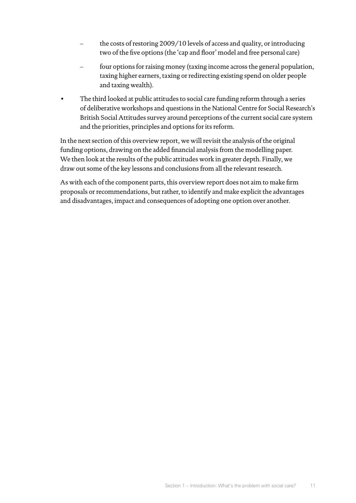- the costs of restoring 2009/10 levels of access and quality, or introducing two of the five options (the 'cap and floor' model and free personal care)
- four options for raising money (taxing income across the general population, taxing higher earners, taxing or redirecting existing spend on older people and taxing wealth).
- The third looked at public attitudes to social care funding reform through a series of deliberative workshops and questions in the National Centre for Social Research's British Social Attitudes survey around perceptions of the current social care system and the priorities, principles and options for its reform.

In the next section of this overview report, we will revisit the analysis of the original funding options, drawing on the added financial analysis from the modelling paper. We then look at the results of the public attitudes work in greater depth. Finally, we draw out some of the key lessons and conclusions from all the relevant research.

As with each of the component parts, this overview report does not aim to make firm proposals orrecommendations, but rather, to identify and make explicit the advantages and disadvantages, impact and consequences of adopting one option over another.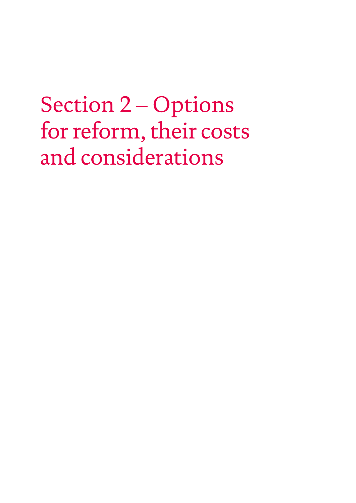## <span id="page-13-0"></span>Section 2 – Options for reform, their costs and considerations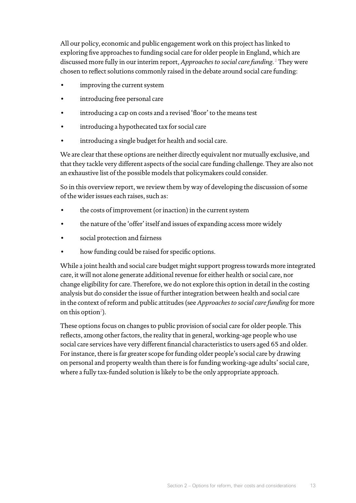All our policy, economic and public engagement work on this project has linked to exploring five approaches to funding social care for older people in England, which are discussed more fully in our interim report, *Approaches to social care funding*. <sup>2</sup> They were chosen to reflect solutions commonly raised in the debate around social care funding:

- improving the current system
- introducing free personal care
- introducing a cap on costs and a revised 'floor' to the means test
- introducing a hypothecated tax for social care
- introducing a single budget for health and social care.

We are clear that these options are neither directly equivalent nor mutually exclusive, and that they tackle very different aspects of the social care funding challenge. They are also not an exhaustive list of the possible models that policymakers could consider.

So in this overview report, we review them by way of developing the discussion of some of the wider issues each raises, such as:

- the costs of improvement (or inaction) in the current system
- the nature of the 'offer' itself and issues of expanding access more widely
- social protection and fairness
- how funding could be raised for specific options.

While a joint health and social care budget might support progress towards more integrated care, it will not alone generate additional revenue for either health or social care, nor change eligibility for care. Therefore, we do not explore this option in detail in the costing analysis but do consider the issue of further integration between health and social care in the context of reform and public attitudes (see *Approaches to social care funding* for more on this option<sup>2</sup>).

These options focus on changes to public provision of social care for older people. This reflects, among other factors, the reality that in general, working-age people who use social care services have very different financial characteristics to users aged 65 and older. For instance, there is far greater scope for funding older people's social care by drawing on personal and property wealth than there is for funding working-age adults' social care, where a fully tax-funded solution is likely to be the only appropriate approach.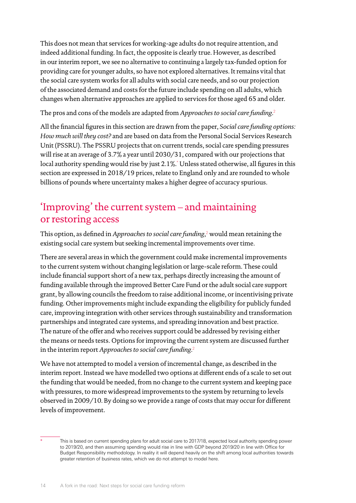This does not mean that services for working-age adults do not require attention, and indeed additional funding. In fact, the opposite is clearly true. However, as described in our interim report, we see no alternative to continuing a largely tax-funded option for providing care for younger adults, so have not explored alternatives. It remains vital that the social care system works for all adults with social care needs, and so our projection of the associated demand and costs for the future include spending on all adults, which changes when alternative approaches are applied to services for those aged 65 and older.

The pros and cons of the models are adapted from *Approaches to social care funding*. 2

All the financial figures in this section are drawn from the paper, *Social care funding options: How much will they cost?* and are based on data from the Personal Social Services Research Unit (PSSRU). The PSSRU projects that on current trends, social care spending pressures will rise at an average of 3.7% a year until 2030/31, compared with our projections that local authority spending would rise by just 2.1%.\* Unless stated otherwise, all figures in this section are expressed in 2018/19 prices, relate to England only and are rounded to whole billions of pounds where uncertainty makes a higher degree of accuracy spurious.

### 'Improving' the current system – and maintaining or restoring access

This option, as defined in *Approaches to social care funding*, 2 would mean retaining the existing social care system but seeking incremental improvements over time.

There are several areas in which the government could make incremental improvements to the current system without changing legislation or large-scale reform. These could include financial support short of a new tax, perhaps directly increasing the amount of funding available through the improved Better Care Fund or the adult social care support grant, by allowing councils the freedom to raise additional income, or incentivising private funding. Other improvements might include expanding the eligibility for publicly funded care, improving integration with other services through sustainability and transformation partnerships and integrated care systems, and spreading innovation and best practice. The nature of the offer and who receives support could be addressed by revising either the means or needs tests. Options for improving the current system are discussed further in the interim report *Approaches to [social care funding](https://www.health.org.uk/sites/health/files/Approaches-social-care-funding_1.pdf)*. 2

We have not attempted to model a version of incremental change, as described in the interim report. Instead we have modelled two options at different ends of a scale to set out the funding that would be needed, from no change to the current system and keeping pace with pressures, to more widespread improvements to the system by returning to levels observed in 2009/10. By doing so we provide a range of costs that may occur for different levels of improvement.

This is based on current spending plans for adult social care to 2017/18, expected local authority spending power to 2019/20, and then assuming spending would rise in line with GDP beyond 2019/20 in line with Office for Budget Responsibility methodology. In reality it will depend heavily on the shift among local authorities towards greater retention of business rates, which we do not attempt to model here.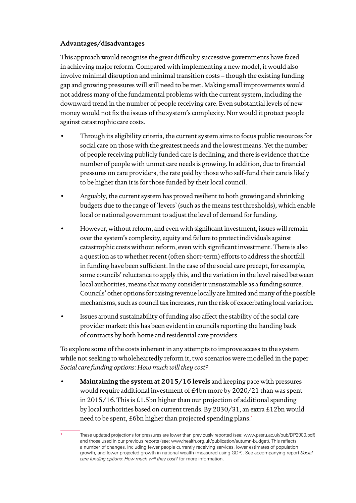#### **Advantages/disadvantages**

This approach would recognise the great difficulty successive governments have faced in achieving major reform. Compared with implementing a new model, it would also involve minimal disruption and minimal transition costs – though the existing funding gap and growing pressures will still need to be met. Making small improvements would not address many of the fundamental problems with the current system, including the downward trend in the number of people receiving care. Even substantial levels of new money would not fix the issues of the system's complexity. Nor would it protect people against catastrophic care costs.

- Through its eligibility criteria, the current system aims to focus public resources for social care on those with the greatest needs and the lowest means. Yet the number of people receiving publicly funded care is declining, and there is evidence that the number of people with unmet care needs is growing. In addition, due to financial pressures on care providers, the rate paid by those who self-fund their care is likely to be higher than it is for those funded by their local council.
- Arguably, the current system has proved resilient to both growing and shrinking budgets due to the range of 'levers' (such as the means test thresholds), which enable local or national government to adjust the level of demand for funding.
- However, without reform, and even with significant investment, issues will remain over the system's complexity, equity and failure to protect individuals against catastrophic costs without reform, even with significant investment. There is also a question as to whether recent (often short-term) efforts to address the shortfall in funding have been sufficient. In the case of the social care precept, for example, some councils' reluctance to apply this, and the variation in the level raised between local authorities, means that many consider it unsustainable as a funding source. Councils' other options for raising revenue locally are limited and many of the possible mechanisms, such as council tax increases, run the risk of exacerbating local variation.
- Issues around sustainability of funding also affect the stability of the social care provider market: this has been evident in councils reporting the handing back of contracts by both home and residential care providers.

To explore some of the costs inherent in any attempts to improve access to the system while not seeking to wholeheartedly reform it, two scenarios were modelled in the paper *Social care funding options: How much will they cost?*

• **Maintaining the system at 2015/16 levels** and keeping pace with pressures would require additional investment of £4bn more by 2020/21 than was spent in 2015/16. This is £1.5bn higher than our projection of additional spending by local authorities based on current trends. By 2030/31, an extra £12bn would need to be spent, £6bn higher than projected spending plans.\*

These updated projections for pressures are lower than previously reported (see: [www.pssru.ac.uk/pub/DP2900.pdf\)](http://www.pssru.ac.uk/pub/DP2900.pdf),) and those used in our previous reports (see: [www.health.org.uk/publication/autumn-budget\).](http://www.health.org.uk/publication/autumn-budget).) This reflects a number of changes, including fewer people currently receiving services, lower estimates of population growth, and lower projected growth in national wealth (measured using GDP). See accompanying report *Social care funding options: How much will they cost?* for more information.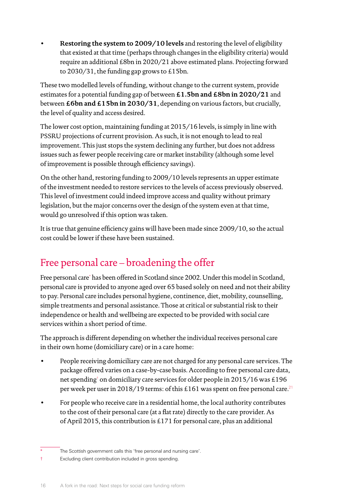• **Restoring the system to 2009/10 levels** and restoring the level of eligibility that existed at that time (perhaps through changes in the eligibility criteria) would require an additional £8bn in 2020/21 above estimated plans. Projecting forward to 2030/31, the funding gap grows to £15bn.

These two modelled levels of funding, without change to the current system, provide estimates for a potential funding gap of between **£1.5bn and £8bn in 2020/21** and between **£6bn and £15bn in 2030/31**, depending on various factors, but crucially, the level of quality and access desired.

The lower cost option, maintaining funding at 2015/16 levels, is simply in line with PSSRU projections of current provision. As such, it is not enough to lead to real improvement. This just stops the system declining any further, but does not address issues such as fewer people receiving care or market instability (although some level of improvement is possible through efficiency savings).

On the other hand, restoring funding to 2009/10 levels represents an upper estimate of the investment needed to restore services to the levels of access previously observed. This level of investment could indeed improve access and quality without primary legislation, but the major concerns over the design of the system even at that time, would go unresolved if this option was taken.

It is true that genuine efficiency gains will have been made since 2009/10, so the actual cost could be lower if these have been sustained.

## Free personal care – broadening the offer

Free personal care\* has been offered in Scotland since 2002. Under this model in Scotland, personal care is provided to anyone aged over 65 based solely on need and not their ability to pay. Personal care includes personal hygiene, continence, diet, mobility, counselling, simple treatments and personal assistance. Those at critical or substantial risk to their independence or health and wellbeing are expected to be provided with social care services within a short period of time.

The approach is different depending on whether the individual receives personal care in their own home (domiciliary care) or in a care home:

- People receiving domiciliary care are not charged for any personal care services. The package offered varies on a case-by-case basis. According to free personal care data, net spending† on domiciliary care services for older people in 2015/16 was £196 per week per user in 2018/19 terms: of this £161 was spent on free personal care.<sup>21</sup>
- For people who receive care in a residential home, the local authority contributes to the cost of their personal care (at a flat rate) directly to the care provider. As of April 2015, this contribution is £171 for personal care, plus an additional

The Scottish government calls this 'free personal and nursing care'.

<sup>†</sup> Excluding client contribution included in gross spending.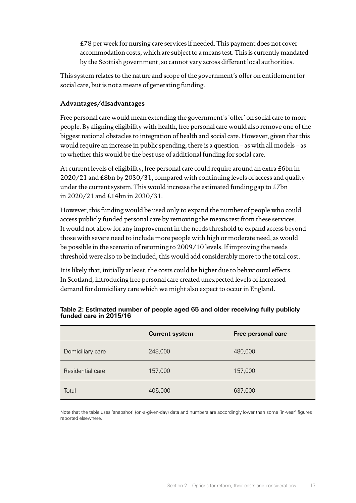£78 per week for nursing care services if needed. This payment does not cover accommodation costs, which are subject to a means test. This is currently mandated by the Scottish government, so cannot vary across different local authorities.

This system relates to the nature and scope of the government's offer on entitlement for social care, but is not a means of generating funding.

#### **Advantages/disadvantages**

Free personal care would mean extending the government's 'offer' on social care to more people. By aligning eligibility with health, free personal care would also remove one of the biggest national obstacles to integration of health and social care. However, given that this would require an increase in public spending, there is a question – as with all models – as to whether this would be the best use of additional funding for social care.

At current levels of eligibility, free personal care could require around an extra £6bn in 2020/21 and £8bn by 2030/31, compared with continuing levels of access and quality under the current system. This would increase the estimated funding gap to £7bn in 2020/21 and £14bn in 2030/31.

However, this funding would be used only to expand the number of people who could access publicly funded personal care by removing the means test from these services. It would not allow for any improvement in the needs threshold to expand access beyond those with severe need to include more people with high or moderate need, as would be possible in the scenario of returning to 2009/10 levels. If improving the needs threshold were also to be included, this would add considerably more to the total cost.

It is likely that, initially at least, the costs could be higher due to behavioural effects. In Scotland, introducing free personal care created unexpected levels of increased demand for domiciliary care which we might also expect to occur in England.

|                  | <b>Current system</b> | Free personal care |
|------------------|-----------------------|--------------------|
| Domiciliary care | 248,000               | 480,000            |
| Residential care | 157,000               | 157,000            |
| Total            | 405,000               | 637,000            |

#### **Table 2: Estimated number of people aged 65 and older receiving fully publicly funded care in 2015/16**

Note that the table uses 'snapshot' (on-a-given-day) data and numbers are accordingly lower than some 'in-year' figures reported elsewhere.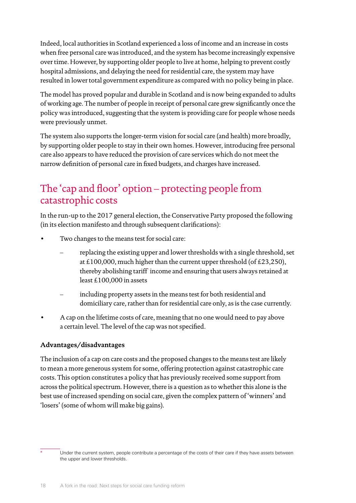Indeed, local authorities in Scotland experienced a loss of income and an increase in costs when free personal care was introduced, and the system has become increasingly expensive over time. However, by supporting older people to live at home, helping to prevent costly hospital admissions, and delaying the need for residential care, the system may have resulted in lower total government expenditure as compared with no policy being in place.

The model has proved popular and durable in Scotland and is now being expanded to adults of working age. The number of people in receipt of personal care grew significantly once the policy was introduced, suggesting that the system is providing care for people whose needs were previously unmet.

The system also supports the longer-term vision for social care (and health) more broadly, by supporting older people to stay in their own homes. However, introducing free personal care also appears to have reduced the provision of care services which do not meet the narrow definition of personal care in fixed budgets, and charges have increased.

## The 'cap and floor' option – protecting people from catastrophic costs

In the run-up to the 2017 general election, the Conservative Party proposed the following (in its election manifesto and through subsequent clarifications):

- Two changes to the means test for social care:
	- replacing the existing upper and lower thresholds with a single threshold, set at £100,000, much higher than the current upper threshold (of £23,250), thereby abolishing tariff\* income and ensuring that users always retained at least £100,000 in assets
	- including property assets in the means test for both residential and domiciliary care, rather than for residential care only, as is the case currently.
- A cap on the lifetime costs of care, meaning that no one would need to pay above a certain level. The level of the cap was not specified.

#### **Advantages/disadvantages**

The inclusion of a cap on care costs and the proposed changes to the means test are likely to mean a more generous system for some, offering protection against catastrophic care costs. This option constitutes a policy that has previously received some support from across the political spectrum. However, there is a question as to whether this alone is the best use of increased spending on social care, given the complex pattern of 'winners' and 'losers' (some of whom will make big gains).

Under the current system, people contribute a percentage of the costs of their care if they have assets between the upper and lower thresholds.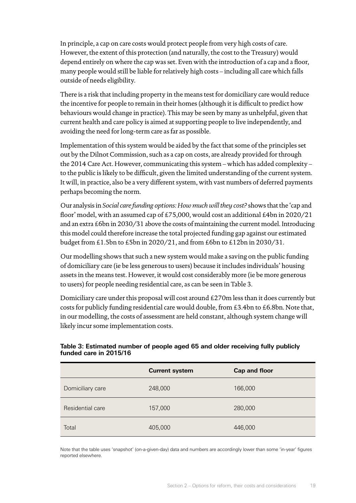In principle, a cap on care costs would protect people from very high costs of care. However, the extent of this protection (and naturally, the cost to the Treasury) would depend entirely on where the cap was set. Even with the introduction of a cap and a floor, many people would still be liable for relatively high costs – including all care which falls outside of needs eligibility.

There is a risk that including property in the means test for domiciliary care would reduce the incentive for people to remain in their homes (although it is difficult to predict how behaviours would change in practice). This may be seen by many as unhelpful, given that current health and care policy is aimed at supporting people to live independently, and avoiding the need for long-term care as far as possible.

Implementation of this system would be aided by the fact that some of the principles set out by the Dilnot Commission, such as a cap on costs, are already provided for through the 2014 Care Act. However, communicating this system – which has added complexity – to the public is likely to be difficult, given the limited understanding of the current system. It will, in practice, also be a very different system, with vast numbers of deferred payments perhaps becoming the norm.

Our analysis in *Social care funding options: How much will they cost?* shows that the 'cap and floor' model, with an assumed cap of £75,000, would cost an additional £4bn in 2020/21 and an extra £6bn in 2030/31 above the costs of maintaining the current model. Introducing this model could therefore increase the total projected funding gap against our estimated budget from £1.5bn to £5bn in 2020/21, and from £6bn to £12bn in 2030/31.

Our modelling shows that such a new system would make a saving on the public funding of domiciliary care (ie be less generous to users) because it includes individuals' housing assets in the means test. However, it would cost considerably more (ie be more generous to users) for people needing residential care, as can be seen in Table 3.

Domiciliary care under this proposal will cost around £270m less than it does currently but costs for publicly funding residential care would double, from £3.4bn to £6.8bn. Note that, in our modelling, the costs of assessment are held constant, although system change will likely incur some implementation costs.

|                  | <b>Current system</b> | <b>Cap and floor</b> |
|------------------|-----------------------|----------------------|
| Domiciliary care | 248,000               | 166,000              |
| Residential care | 157,000               | 280,000              |
| Total            | 405,000               | 446,000              |

#### **Table 3: Estimated number of people aged 65 and older receiving fully publicly funded care in 2015/16**

Note that the table uses 'snapshot' (on-a-given-day) data and numbers are accordingly lower than some 'in-year' figures reported elsewhere.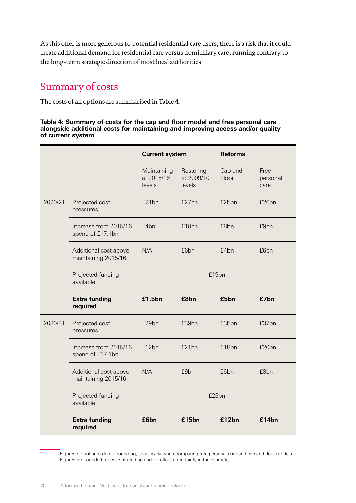As this offer is more generous to potential residential care users, there is a risk that it could create additional demand for residential care versus domiciliary care, running contrary to the long-term strategic direction of most local authorities.

### Summary of costs

The costs of all options are summarised in Table 4.

#### **Table 4: Summary of costs for the cap and floor model and free personal care alongside additional costs for maintaining and improving access and/or quality of current system**\*

|         |                                              | <b>Current system</b>               |                                   | <b>Reforms</b>   |                          |
|---------|----------------------------------------------|-------------------------------------|-----------------------------------|------------------|--------------------------|
|         |                                              | Maintaining<br>at 2015/16<br>levels | Restoring<br>to 2009/10<br>levels | Cap and<br>Floor | Free<br>personal<br>care |
| 2020/21 | Projected cost<br>pressures                  | £21bn                               | £27bn                             | £25bn            | £26bn                    |
|         | Increase from 2015/16<br>spend of £17.1bn    | f4 <sub>bn</sub>                    | £10bn                             | £8bn             | £9 <sub>bn</sub>         |
|         | Additional cost above<br>maintaining 2015/16 | N/A                                 | £6bn                              | £4bn             | £6bn                     |
|         | Projected funding<br>available               | £19bn                               |                                   |                  |                          |
|         | <b>Extra funding</b><br>required             | £1.5bn                              | £8bn                              | £5bn             | £7bn                     |
| 2030/31 | Projected cost<br>pressures                  | £29bn                               | £39bn                             | £35bn            | £37bn                    |
|         | Increase from 2015/16<br>spend of £17.1bn    | £12bn                               | £21bn                             | £18bn            | £20bn                    |
|         | Additional cost above<br>maintaining 2015/16 | N/A                                 | £9bn                              | £6bn             | £8bn                     |
|         | Projected funding<br>available               | £23bn                               |                                   |                  |                          |
|         | <b>Extra funding</b><br>required             | £6bn                                | £15bn                             | £12bn            | £14bn                    |

Figures do not sum due to rounding, specifically when comparing free personal care and cap and floor models. Figures are rounded for ease of reading and to reflect uncertainty in the estimate.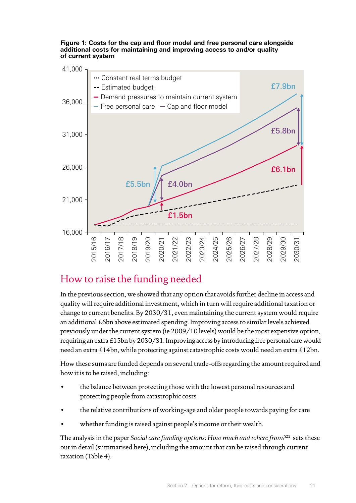**Figure 1: Costs for the cap and floor model and free personal care alongside additional costs for maintaining and improving access to and/or quality of current system**



### How to raise the funding needed

In the previous section, we showed that any option that avoids further decline in access and quality will require additional investment, which in turn will require additional taxation or change to current benefits. By 2030/31, even maintaining the current system would require an additional £6bn above estimated spending. Improving access to similar levels achieved previously under the current system (ie 2009/10 levels) would be the most expensive option, requiring anextra £15bn by 2030/31. Improving access by introducing free personal care would need an extra £14bn, while protecting against catastrophic costs would need an extra £12bn.

How these sums are funded depends on several trade-offs regarding the amount required and how it is to be raised, including:

- the balance between protecting those with the lowest personal resources and protecting people from catastrophic costs
- the relative contributions of working-age and older people towards paying for care
- whether funding is raised against people's income or their wealth.

The analysis in the paper *Social care funding options: How much and where from?*22 sets these out in detail (summarised here), including the amount that can be raised through current taxation (Table 4).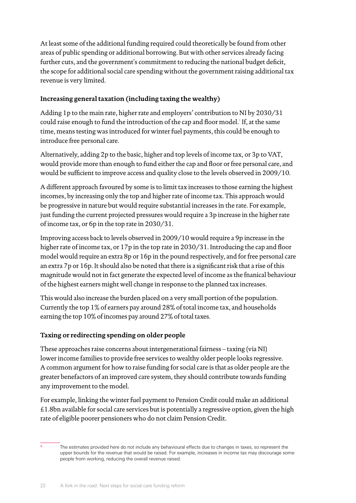At least some of the additional funding required could theoretically be found from other areas of public spending or additional borrowing. But with other services already facing further cuts, and the government's commitment to reducing the national budget deficit, the scope for additional social care spending without the government raising additional tax revenue is very limited.

#### **Increasing general taxation (including taxing the wealthy)**

Adding 1p to the main rate, higher rate and employers' contribution to NI by 2030/31 could raise enough to fund the introduction of the cap and floor model.\* If, at the same time, means testing was introduced for winter fuel payments, this could be enough to introduce free personal care.

Alternatively, adding 2p to the basic, higher and top levels of income tax, or 3p to VAT, would provide more than enough to fund either the cap and floor orfree personal care, and would be sufficient to improve access and quality close to the levels observed in 2009/10.

A different approach favoured by some is to limit tax increases to those earning the highest incomes, by increasing only the top and higher rate of income tax. This approach would be progressive in nature but would require substantial increases in the rate. For example, just funding the current projected pressures would require a 3p increase in the higher rate of income tax, or 6p in the top rate in 2030/31.

Improving access back to levels observed in 2009/10 would require a 9p increase in the higher rate of income tax, or 17p in the top rate in 2030/31. Introducing the cap and floor model would require an extra 8p or 16p in the pound respectively, and for free personal care an extra 7p or 16p. It should also be noted that there is a significant risk that a rise of this magnitude would not in fact generate the expected level of income as the fnanical behaviour of the highest earners might well change in response to the planned tax increases.

This would also increase the burden placed on a very small portion of the population. Currently the top 1% of earners pay around 28% of total income tax, and households earning the top 10% of incomes pay around 27% of total taxes.

#### **Taxing or redirecting spending on older people**

These approaches raise concerns about intergenerational fairness – taxing (via NI) lower income families to provide free services to wealthy older people looks regressive. A common argument for how to raise funding for social care is that as older people are the greater benefactors of an improved care system, they should contribute towards funding any improvement to the model.

For example, linking the winter fuel payment to Pension Credit could make an additional £1.8bn available for social care services but is potentially a regressive option, given the high rate of eligible poorer pensioners who do not claim Pension Credit.

The estimates provided here do not include any behavioural effects due to changes in taxes, so represent the upper bounds for the revenue that would be raised. For example, increases in income tax may discourage some people from working, reducing the overall revenue raised.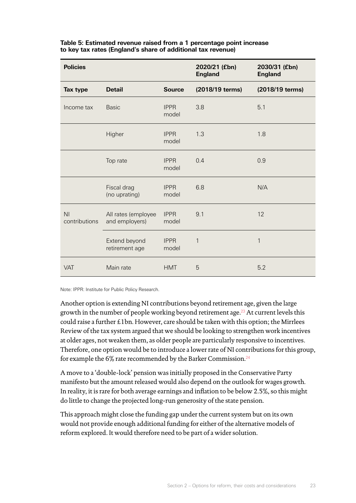| <b>Policies</b>                 |                                       |                      | 2020/21 (£bn)<br><b>England</b> | 2030/31 (£bn)<br><b>England</b> |
|---------------------------------|---------------------------------------|----------------------|---------------------------------|---------------------------------|
| Tax type                        | <b>Detail</b>                         | <b>Source</b>        | (2018/19 terms)                 | (2018/19 terms)                 |
| Income tax                      | <b>Basic</b>                          | <b>IPPR</b><br>model | 3.8                             | 5.1                             |
|                                 | Higher                                | <b>IPPR</b><br>model | 1.3                             | 1.8                             |
|                                 | Top rate                              | <b>IPPR</b><br>model | 0.4                             | 0.9                             |
|                                 | Fiscal drag<br>(no uprating)          | <b>IPPR</b><br>model | 6.8                             | N/A                             |
| N <sub>l</sub><br>contributions | All rates (employee<br>and employers) | <b>IPPR</b><br>model | 9.1                             | 12                              |
|                                 | Extend beyond<br>retirement age       | <b>IPPR</b><br>model | $\mathbf{1}$                    | $\mathbf{1}$                    |
| <b>VAT</b>                      | Main rate                             | <b>HMT</b>           | 5                               | 5.2                             |

#### **Table 5: Estimated revenue raised from a 1 percentage point increase to key tax rates (England's share of additional tax revenue)**

Note: IPPR: Institute for Public Policy Research.

Another option is extending NI contributions beyond retirement age, given the large growth in the number of people working beyond retirement age.<sup>23</sup> At current levels this could raise a further £1bn. However, care should be taken with this option; the Mirrlees Review of the tax system argued that we should be looking to strengthen work incentives at older ages, not weaken them, as older people are particularly responsive to incentives. Therefore, one option would be to introduce a lower rate of NI contributions for this group, for example the 6% rate recommended by the Barker Commission.<sup>24</sup>

A move to a 'double-lock' pension was initially proposed in the Conservative Party manifesto but the amount released would also depend on the outlook for wages growth. In reality, it is rare for both average earnings and inflation to be below 2.5%, so this might do little to change the projected long-run generosity of the state pension.

This approach might close the funding gap under the current system but on its own would not provide enough additional funding for either of the alternative models of reform explored. It would therefore need to be part of a wider solution.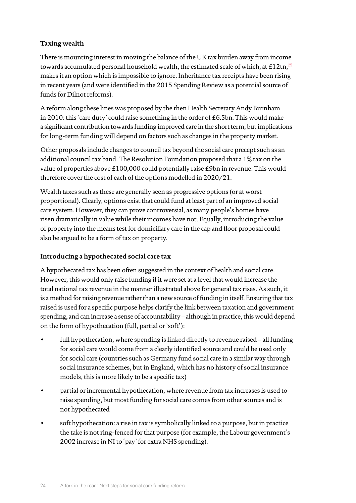#### **Taxing wealth**

There is mounting interest in moving the balance of the UK tax burden away from income towards accumulated personal household wealth, the estimated scale of which, at £12tn, $^{25}$ makes it an option which is impossible to ignore. Inheritance tax receipts have been rising in recent years (and were identified in the 2015 Spending Review as a potential source of funds for Dilnot reforms).

A reform along these lines was proposed by the then Health Secretary Andy Burnham in 2010: this 'care duty' could raise something in the order of £6.5bn. This would make a significant contribution towards funding improved care in the short term, but implications for long-term funding will depend on factors such as changes in the property market.

Other proposals include changes to council tax beyond the social care precept such as an additional council tax band. The Resolution Foundation proposed that a 1% tax on the value of properties above £100,000 could potentially raise £9bn in revenue. This would therefore cover the cost of each of the options modelled in 2020/21.

Wealth taxes such as these are generally seen as progressive options (or at worst proportional). Clearly, options exist that could fund at least part of an improved social care system. However, they can prove controversial, as many people's homes have risen dramatically in value while their incomes have not. Equally, introducing the value of property into the means test for domiciliary care in the cap and floor proposal could also be argued to be a form of tax on property.

#### **Introducing a hypothecated social care tax**

A hypothecated tax has been often suggested in the context of health and social care. However, this would only raise funding if it were set at a level that would increase the total national tax revenue in the mannerillustrated above for general tax rises. As such, it is a method for raising revenue rather than a new source of funding in itself. Ensuring that tax raised is used for a specific purpose helps clarify the link between taxation and government spending, and can increase a sense of accountability – although in practice, this would depend on the form of hypothecation (full, partial or'soft'):

- full hypothecation, where spending is linked directly to revenue raised all funding for social care would come from a clearly identified source and could be used only for social care (countries such as Germany fund social care in a similar way through social insurance schemes, but in England, which has no history of social insurance models, this is more likely to be a specific tax)
- partial or incremental hypothecation, where revenue from tax increases is used to raise spending, but most funding for social care comes from other sources and is not hypothecated
- soft hypothecation: a rise in tax is symbolically linked to a purpose, but in practice the take is not ring-fenced for that purpose (for example, the Labour government's 2002 increase in NI to 'pay' for extra NHS spending).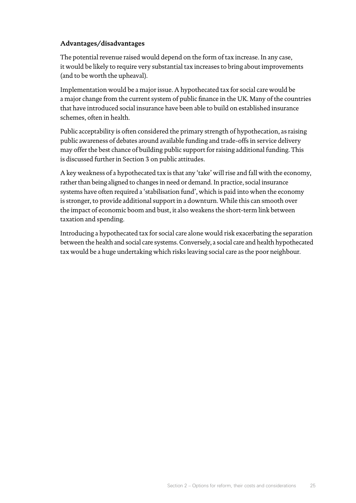#### **Advantages/disadvantages**

The potential revenue raised would depend on the form of tax increase. In any case, it would be likely to require very substantial tax increases to bring about improvements (and to be worth the upheaval).

Implementation would be a major issue. A hypothecated tax for social care would be a major change from the current system of public finance in the UK. Many of the countries that have introduced social insurance have been able to build on established insurance schemes, often in health.

Public acceptability is often considered the primary strength of hypothecation, as raising public awareness of debates around available funding and trade-offs in service delivery may offer the best chance of building public support for raising additional funding. This is discussed further in Section 3 on public attitudes.

A key weakness of a hypothecated tax is that any 'take' will rise and fall with the economy, rather than being aligned to changes in need or demand. In practice, social insurance systems have often required a 'stabilisation fund', which is paid into when the economy is stronger, to provide additional support in a downturn. While this can smooth over the impact of economic boom and bust, it also weakens the short-term link between taxation and spending.

Introducing a hypothecated tax for social care alone would risk exacerbating the separation between the health and social care systems. Conversely, a social care and health hypothecated tax would be a huge undertaking which risks leaving social care as the poor neighbour.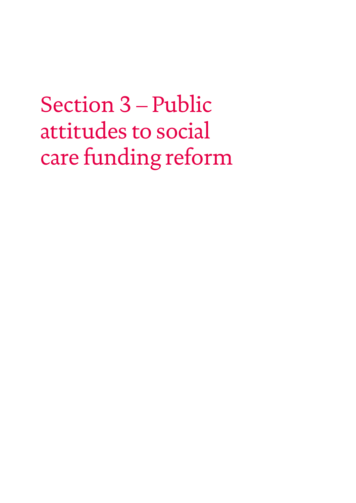## <span id="page-27-0"></span>Section 3 – Public attitudes to social care funding reform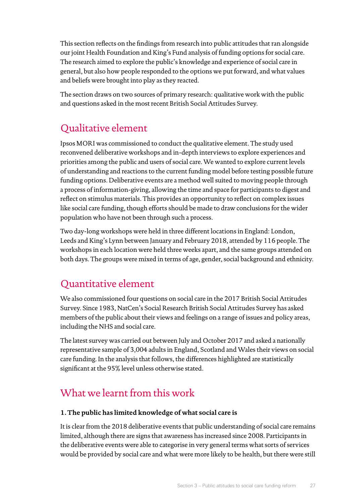This section reflects on the findings from research into public attitudes that ran alongside our joint Health Foundation and King's Fund analysis of funding options for social care. The research aimed to explore the public's knowledge and experience of social care in general, but also how people responded to the options we put forward, and what values and beliefs were brought into play as they reacted.

The section draws on two sources of primary research: qualitative work with the public and questions asked in the most recent British Social Attitudes Survey.

## Qualitative element

Ipsos MORI was commissioned to conduct the qualitative element. The study used reconvened deliberative workshops and in-depth interviews to explore experiences and priorities among the public and users of social care. We wanted to explore current levels of understanding and reactions to the current funding model before testing possible future funding options. Deliberative events are a method well suited to moving people through a process of information-giving, allowing the time and space for participants to digest and reflect on stimulus materials. This provides an opportunity to reflect on complex issues like social care funding, though efforts should be made to draw conclusions for the wider population who have not been through such a process.

Two day-long workshops were held in three different locations in England: London, Leeds and King's Lynn between January and February 2018, attended by 116 people. The workshops in each location were held three weeks apart, and the same groups attended on both days. The groups were mixed in terms of age, gender, social background and ethnicity.

## Quantitative element

We also commissioned four questions on social care in the 2017 British Social Attitudes Survey. Since 1983, NatCen's Social Research British Social Attitudes Survey has asked members of the public about their views and feelings on a range of issues and policy areas, including the NHS and social care.

The latest survey was carried out between July and October 2017 and asked a nationally representative sample of 3,004 adults in England, Scotland and Wales their views on social care funding. In the analysis that follows, the differences highlighted are statistically significant at the 95% level unless otherwise stated.

## What we learnt from this work

#### **1. The public has limited knowledge of what social care is**

It is clear from the 2018 deliberative events that public understanding of social care remains limited, although there are signs that awareness has increased since 2008. Participants in the deliberative events were able to categorise in very general terms what sorts of services would be provided by social care and what were more likely to be health, but there were still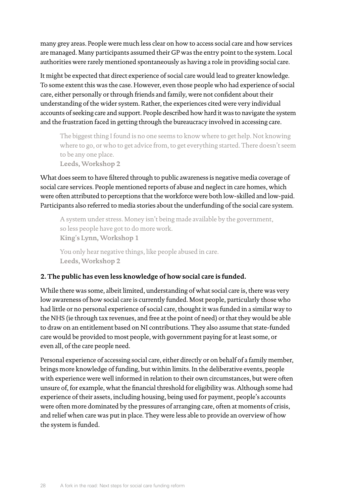many grey areas. People were much less clear on how to access social care and how services are managed. Many participants assumed their GP was the entry point to the system. Local authorities were rarely mentioned spontaneously as having a role in providing social care.

It might be expected that direct experience of social care would lead to greater knowledge. To some extent this was the case. However, even those people who had experience of social care, either personally or through friends and family, were not confident about their understanding of the wider system. Rather, the experiences cited were very individual accounts of seeking care and support. People described how hard it was to navigate the system and the frustration faced in getting through the bureaucracy involved in accessing care.

The biggest thing I found is no one seems to know where to get help. Not knowing where to go, or who to get advice from, to get everything started. There doesn't seem to be any one place.

**Leeds, Workshop 2**

What does seem to have filtered through to public awareness is negative media coverage of social care services. People mentioned reports of abuse and neglect in care homes, which were often attributed to perceptions that the workforce were both low-skilled and low-paid. Participants also referred to media stories about the underfunding of the social care system.

A system under stress. Money isn't being made available by the government, so less people have got to do more work. **King**'**s Lynn, Workshop 1**

You only hear negative things, like people abused in care. **Leeds, Workshop 2**

#### **2. The public has even less knowledge of how social care is funded.**

While there was some, albeit limited, understanding of what social care is, there was very low awareness of how social care is currently funded. Most people, particularly those who had little or no personal experience of social care, thought it was funded in a similar way to the NHS (ie through tax revenues, and free at the point of need) or that they would be able to draw on an entitlement based on NI contributions. They also assume that state-funded care would be provided to most people, with government paying for at least some, or even all, of the care people need.

Personal experience of accessing social care, either directly or on behalf of a family member, brings more knowledge of funding, but within limits. In the deliberative events, people with experience were well informed in relation to their own circumstances, but were often unsure of, for example, what the financial threshold for eligibility was. Although some had experience of their assets, including housing, being used for payment, people's accounts were often more dominated by the pressures of arranging care, often at moments of crisis, and relief when care was put in place. They were less able to provide an overview of how the system is funded.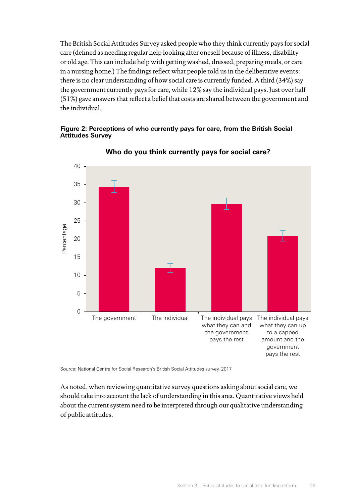The British Social Attitudes Survey asked people who they think currently pays for social care (defined as needing regular help looking after oneself because of illness, disability or old age. This can include help with getting washed, dressed, preparing meals, or care in a nursing home.) The findings reflect what people told us in the deliberative events: there is no clear understanding of how social care is currently funded. A third (34%) say the government currently pays for care, while 12% say the individual pays. Just over half (51%) gave answers that reflect a belief that costs are shared between the government and the individual.

#### **Figure 2: Perceptions of who currently pays for care, from the British Social Attitudes Survey**



#### **Who do you think currently pays for social care?**

Source: National Centre for Social Research's British Social Attitudes survey, 2017

As noted, when reviewing quantitative survey questions asking about social care, we should take into account the lack of understanding in this area. Quantitative views held about the current system need to be interpreted through our qualitative understanding of public attitudes.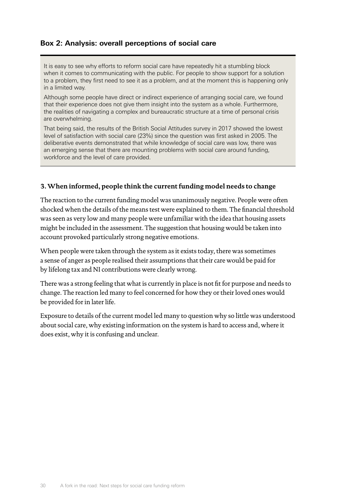#### **Box 2: Analysis: overall perceptions of social care**

It is easy to see why efforts to reform social care have repeatedly hit a stumbling block when it comes to communicating with the public. For people to show support for a solution to a problem, they first need to see it as a problem, and at the moment this is happening only in a limited way.

Although some people have direct or indirect experience of arranging social care, we found that their experience does not give them insight into the system as a whole. Furthermore, the realities of navigating a complex and bureaucratic structure at a time of personal crisis are overwhelming.

That being said, the results of the British Social Attitudes survey in 2017 showed the lowest level of satisfaction with social care (23%) since the question was first asked in 2005. The deliberative events demonstrated that while knowledge of social care was low, there was an emerging sense that there are mounting problems with social care around funding, workforce and the level of care provided.

#### **3.When informed, people think the current funding model needs to change**

The reaction to the current funding model was unanimously negative. People were often shocked when the details of the means test were explained to them. The financial threshold was seen as very low and many people were unfamiliar with the idea that housing assets might be included in the assessment. The suggestion that housing would be taken into account provoked particularly strong negative emotions.

When people were taken through the system as it exists today, there was sometimes a sense of anger as people realised their assumptions that their care would be paid for by lifelong tax and NI contributions were clearly wrong.

There was a strong feeling that what is currently in place is not fit for purpose and needs to change. The reaction led many to feel concerned for how they or their loved ones would be provided for in later life.

Exposure to details of the current model led many to question why so little was understood about social care, why existing information on the system is hard to access and, where it does exist, why it is confusing and unclear.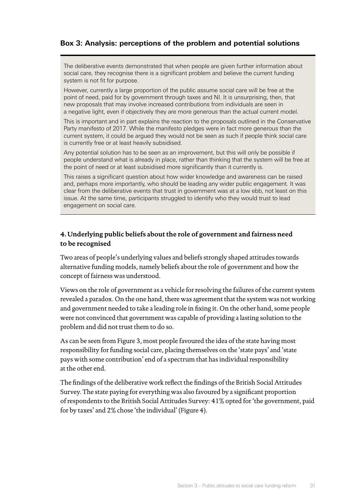#### **Box 3: Analysis: perceptions of the problem and potential solutions**

The deliberative events demonstrated that when people are given further information about social care, they recognise there is a significant problem and believe the current funding system is not fit for purpose.

However, currently a large proportion of the public assume social care will be free at the point of need, paid for by government through taxes and NI. It is unsurprising, then, that new proposals that may involve increased contributions from individuals are seen in a negative light, even if objectively they are more generous than the actual current model.

This is important and in part explains the reaction to the proposals outlined in the Conservative Party manifesto of 2017. While the manifesto pledges were in fact more generous than the current system, it could be argued they would not be seen as such if people think social care is currently free or at least heavily subsidised.

Any potential solution has to be seen as an improvement, but this will only be possible if people understand what is already in place, rather than thinking that the system will be free at the point of need or at least subsidised more significantly than it currently is.

This raises a significant question about how wider knowledge and awareness can be raised and, perhaps more importantly, who should be leading any wider public engagement. It was clear from the deliberative events that trust in government was at a low ebb, not least on this issue. At the same time, participants struggled to identify who they would trust to lead engagement on social care.

#### **4. Underlying public beliefs about the role of government and fairness need to be recognised**

Two areas of people's underlying values and beliefs strongly shaped attitudes towards alternative funding models, namely beliefs about the role of government and how the concept of fairness was understood.

Views on the role of government as a vehicle for resolving the failures of the current system revealed a paradox. On the one hand, there was agreement that the system was not working and government needed to take a leading role in fixing it. On the other hand, some people were not convinced that government was capable of providing a lasting solution to the problem and did not trust them to do so.

As can be seen from Figure 3, most people favoured the idea of the state having most responsibility for funding social care, placing themselves on the 'state pays' and 'state pays with some contribution' end of a spectrum that has individual responsibility at the other end.

The findings of the deliberative work reflect the findings of the British Social Attitudes Survey. The state paying for everything was also favoured by a significant proportion ofrespondents to the British Social Attitudes Survey: 41% opted for 'the government, paid for by taxes' and 2% chose 'the individual' (Figure 4).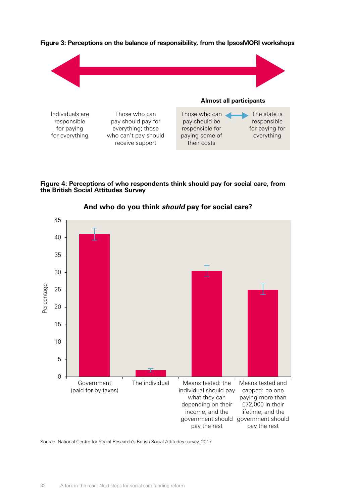

**Figure 3: Perceptions on the balance of responsibility, from the IpsosMORI workshops**

**Figure 4: Perceptions of who respondents think should pay for social care, from the British Social Attitudes Survey**



**And who do you think** *should* **pay for social care?**

Source: National Centre for Social Research's British Social Attitudes survey, 2017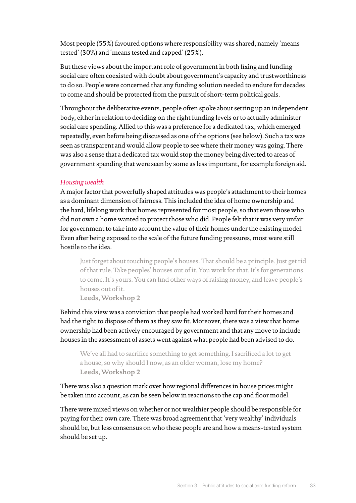Most people (55%) favoured options where responsibility was shared, namely 'means tested' (30%) and 'means tested and capped' (25%).

But these views about the important role of government in both fixing and funding social care often coexisted with doubt about government's capacity and trustworthiness to do so. People were concerned that any funding solution needed to endure for decades to come and should be protected from the pursuit of short-term political goals.

Throughout the deliberative events, people often spoke about setting up an independent body, either in relation to deciding on the right funding levels or to actually administer social care spending. Allied to this was a preference for a dedicated tax, which emerged repeatedly, even before being discussed as one of the options (see below). Such a tax was seen as transparent and would allow people to see where their money was going. There was also a sense that a dedicated tax would stop the money being diverted to areas of government spending that were seen by some as less important, for example foreign aid.

#### *Housing wealth*

A major factor that powerfully shaped attitudes was people's attachment to their homes as a dominant dimension of fairness. This included the idea of home ownership and the hard, lifelong work that homes represented for most people, so that even those who did not own a home wanted to protect those who did. People felt that it was very unfair for government to take into account the value of their homes under the existing model. Even after being exposed to the scale of the future funding pressures, most were still hostile to the idea.

Just forget about touching people's houses. That should be a principle. Just get rid of that rule. Take peoples' houses out of it. You work for that. It's for generations to come. It's yours. You can find other ways ofraising money, and leave people's houses out of it.

**Leeds, Workshop 2**

Behind this view was a conviction that people had worked hard for their homes and had the right to dispose of them as they saw fit. Moreover, there was a view that home ownership had been actively encouraged by government and that any move to include houses in the assessment of assets went against what people had been advised to do.

We've all had to sacrifice something to get something. I sacrificed a lot to get a house, so why should I now, as an older woman, lose my home? **Leeds, Workshop 2**

There was also a question mark over how regional differences in house prices might be taken into account, as can be seen below in reactions to the cap and floor model.

There were mixed views on whether or not wealthier people should be responsible for paying for their own care. There was broad agreement that 'very wealthy' individuals should be, but less consensus on who these people are and how a means-tested system should be set up.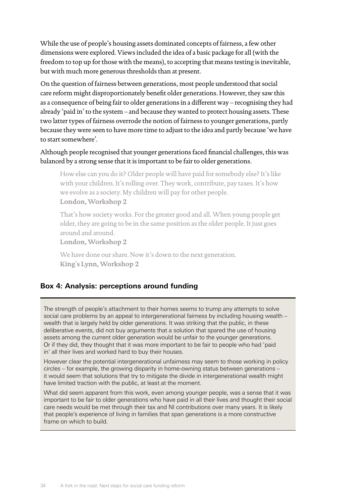While the use of people's housing assets dominated concepts of fairness, a few other dimensions were explored. Views included the idea of a basic package for all (with the freedom to top up for those with the means), to accepting that means testing is inevitable, but with much more generous thresholds than at present.

On the question of fairness between generations, most people understood that social care reform might disproportionately benefit older generations. However, they saw this as a consequence of being fair to older generations in a different way – recognising they had already 'paid in' to the system – and because they wanted to protect housing assets. These two latter types of fairness overrode the notion of fairness to younger generations, partly because they were seen to have more time to adjust to the idea and partly because 'we have to start somewhere'.

#### Although people recognised that younger generations faced financial challenges, this was balanced by a strong sense that it is important to be fair to older generations.

How else can you do it? Older people will have paid for somebody else? It's like with your children. It's rolling over. They work, contribute, pay taxes. It's how we evolve as a society. My children will pay for other people. **London, Workshop 2**

That's how society works. For the greater good and all. When young people get older, they are going to be in the same position as the older people. It just goes around and around.

**London, Workshop 2**

We have done our share. Now it's down to the next generation. **King**'**s Lynn, Workshop 2**

#### **Box 4: Analysis: perceptions around funding**

The strength of people's attachment to their homes seems to trump any attempts to solve social care problems by an appeal to intergenerational fairness by including housing wealth – wealth that is largely held by older generations. It was striking that the public, in these deliberative events, did not buy arguments that a solution that spared the use of housing assets among the current older generation would be unfair to the younger generations. Or if they did, they thought that it was more important to be fair to people who had 'paid in' all their lives and worked hard to buy their houses.

However clear the potential intergenerational unfairness may seem to those working in policy circles – for example, the growing disparity in home-owning status between generations – it would seem that solutions that try to mitigate the divide in intergenerational wealth might have limited traction with the public, at least at the moment.

What did seem apparent from this work, even among younger people, was a sense that it was important to be fair to older generations who have paid in all their lives and thought their social care needs would be met through their tax and NI contributions over many years. It is likely that people's experience of living in families that span generations is a more constructive frame on which to build.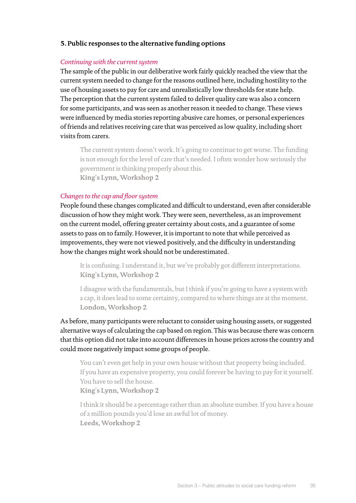#### **5. Public responses to the alternative funding options**

#### *Continuing with the current system*

The sample of the public in our deliberative work fairly quickly reached the view that the current system needed to change for the reasons outlined here, including hostility to the use of housing assets to pay for care and unrealistically low thresholds for state help. The perception that the current system failed to deliver quality care was also a concern for some participants, and was seen as another reason it needed to change. These views were influenced by media stories reporting abusive care homes, or personal experiences of friends and relatives receiving care that was perceived as low quality, including short visits from carers.

The current system doesn't work. It's going to continue to get worse. The funding is not enough for the level of care that's needed. I often wonder how seriously the government is thinking properly about this. **King**'**s Lynn, Workshop 2**

#### *Changes to the cap and floor system*

People found these changes complicated and difficult to understand, even after considerable discussion of how they might work. They were seen, nevertheless, as an improvement on the current model, offering greater certainty about costs, and a guarantee of some assets to pass on to family. However, it is important to note that while perceived as improvements, they were not viewed positively, and the difficulty in understanding how the changes might work should not be underestimated.

It is confusing. I understand it, but we've probably got different interpretations. **King**'**s Lynn, Workshop 2**

I disagree with the fundamentals, but I think if you're going to have a system with a cap, it does lead to some certainty, compared to where things are at the moment. **London, Workshop 2**

As before, many participants were reluctant to consider using housing assets, or suggested alternative ways of calculating the cap based on region. This was because there was concern that this option did not take into account differences in house prices across the country and could more negatively impact some groups of people.

You can't even get help in your own house without that property being included. If you have an expensive property, you could forever be having to pay for it yourself. You have to sell the house. **King**'**s Lynn, Workshop 2**

I think it should be a percentage rather than an absolute number. If you have a house of a million pounds you'd lose an awful lot of money. **Leeds, Workshop 2**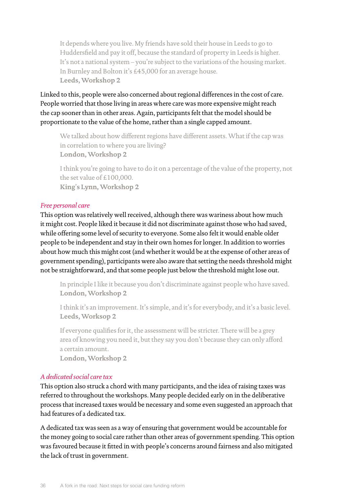It depends where you live. My friends have sold their house in Leeds to go to Huddersfield and pay it off, because the standard of property in Leeds is higher. It's not a national system – you're subject to the variations of the housing market. In Burnley and Bolton it's £45,000 for an average house. **Leeds, Workshop 2**

Linked to this, people were also concerned about regional differences in the cost of care. People worried that those living in areas where care was more expensive might reach the cap sooner than in other areas. Again, participants felt that the model should be proportionate to the value of the home, rather than a single capped amount.

We talked about how different regions have different assets. What if the cap was in correlation to where you are living? **London, Workshop 2**

I think you're going to have to do it on a percentage of the value of the property, not the set value of £100,000. **King**'**s Lynn, Workshop 2**

#### *Free personal care*

This option was relatively well received, although there was wariness about how much it might cost. People liked it because it did not discriminate against those who had saved, while offering some level of security to everyone. Some also felt it would enable older people to be independent and stay in their own homes for longer. In addition to worries about how much this might cost (and whether it would be at the expense of other areas of government spending), participants were also aware that setting the needs threshold might not be straightforward, and that some people just below the threshold might lose out.

In principle I like it because you don't discriminate against people who have saved. **London, Workshop 2**

I think it's an improvement. It's simple, and it's for everybody, and it's a basic level. **Leeds, Worksop 2**

If everyone qualifies for it, the assessment will be stricter. There will be a grey area of knowing you need it, but they say you don't because they can only afford a certain amount.

**London, Workshop 2**

#### *A dedicated social care tax*

This option also struck a chord with many participants, and the idea ofraising taxes was referred to throughout the workshops. Many people decided early on in the deliberative process that increased taxes would be necessary and some even suggested an approach that had features of a dedicated tax.

A dedicated tax was seen as a way of ensuring that government would be accountable for the money going to social care rather than other areas of government spending. This option was favoured because it fitted in with people's concerns around fairness and also mitigated the lack of trust in government.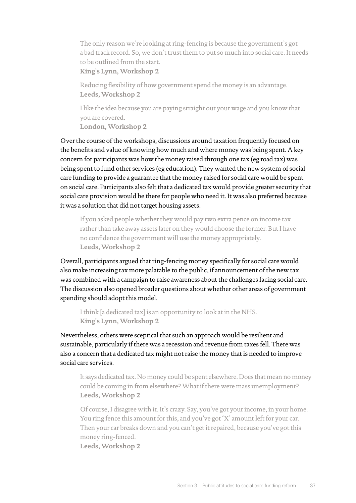The only reason we're looking atring-fencing is because the government's got a bad track record. So, we don't trust them to put so much into social care. It needs to be outlined from the start. **King**'**s Lynn, Workshop 2**

Reducing flexibility of how government spend the money is an advantage. **Leeds, Workshop 2**

I like the idea because you are paying straight out your wage and you know that you are covered. **London, Workshop 2**

Over the course of the workshops, discussions around taxation frequently focused on the benefits and value of knowing how much and where money was being spent. A key concern for participants was how the money raised through one tax (eg road tax) was being spent to fund other services (eg education). They wanted the new system of social care funding to provide a guarantee that the money raised for social care would be spent on social care. Participants also felt that a dedicated tax would provide greater security that social care provision would be there for people who need it. It was also preferred because it was a solution that did not target housing assets.

If you asked people whether they would pay two extra pence on income tax rather than take away assets later on they would choose the former. But I have no confidence the government will use the money appropriately. **Leeds, Workshop 2**

Overall, participants argued that ring-fencing money specifically for social care would also make increasing tax more palatable to the public, if announcement of the new tax was combined with a campaign to raise awareness about the challenges facing social care. The discussion also opened broader questions about whether other areas of government spending should adopt this model.

I think [a dedicated tax] is an opportunity to look at in the NHS. **King**'**s Lynn, Workshop 2**

Nevertheless, others were sceptical that such an approach would be resilient and sustainable, particularly if there was a recession and revenue from taxes fell. There was also a concern that a dedicated tax might not raise the money that is needed to improve social care services.

It says dedicated tax. No money could be spent elsewhere. Does that mean no money could be coming in from elsewhere? What if there were mass unemployment? **Leeds, Workshop 2**

Of course, I disagree with it. It's crazy. Say, you've got your income, in your home. You ring fence this amount for this, and you've got 'X' amount left for your car. Then your car breaks down and you can't get it repaired, because you've got this money ring-fenced.

**Leeds, Workshop 2**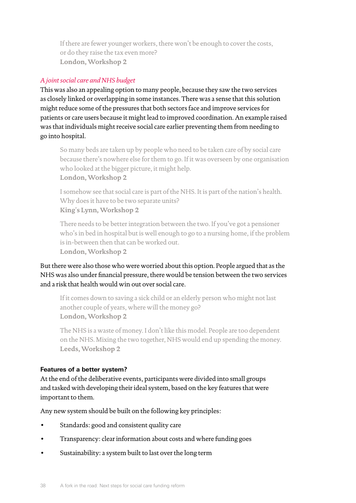If there are fewer younger workers, there won't be enough to cover the costs, or do they raise the tax even more? **London, Workshop 2**

#### *A joint social care and NHS budget*

This was also an appealing option to many people, because they saw the two services as closely linked or overlapping in some instances. There was a sense that this solution might reduce some of the pressures that both sectors face and improve services for patients or care users because it might lead to improved coordination. An example raised was that individuals might receive social care earlier preventing them from needing to go into hospital.

So many beds are taken up by people who need to be taken care of by social care because there's nowhere else for them to go. If it was overseen by one organisation who looked at the bigger picture, it might help. **London, Workshop 2**

I somehow see that social care is part of the NHS. It is part of the nation's health. Why does it have to be two separate units? **King**'**s Lynn, Workshop 2**

There needs to be better integration between the two. If you've got a pensioner who's in bed in hospital but is well enough to go to a nursing home, if the problem is in-between then that can be worked out. **London, Workshop 2**

But there were also those who were worried about this option. People argued that as the NHS was also under financial pressure, there would be tension between the two services and a risk that health would win out over social care.

If it comes down to saving a sick child or an elderly person who might not last another couple of years, where will the money go? **London, Workshop 2**

The NHS is a waste of money. I don't like this model. People are too dependent on the NHS. Mixing the two together, NHS would end up spending the money. **Leeds, Workshop 2**

#### **Features of a better system?**

At the end of the deliberative events, participants were divided into small groups and tasked with developing their ideal system, based on the key features that were important to them.

Any new system should be built on the following key principles:

- Standards: good and consistent quality care
- Transparency: clear information about costs and where funding goes
- Sustainability: a system built to last over the long term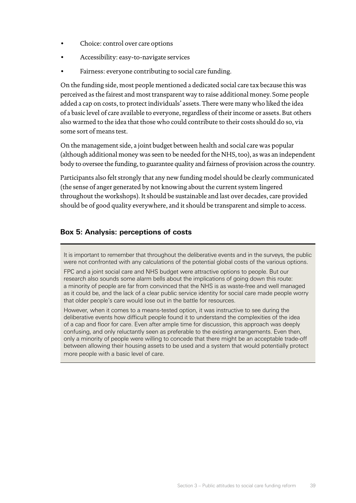- Choice: control over care options
- Accessibility: easy-to-navigate services
- Fairness: everyone contributing to social care funding.

On the funding side, most people mentioned a dedicated social care tax because this was perceived as the fairest and most transparent way to raise additional money. Some people added a cap on costs, to protect individuals' assets. There were many who liked the idea of a basic level of care available to everyone, regardless of their income or assets. But others also warmed to the idea that those who could contribute to their costs should do so, via some sort of means test.

On the management side, a joint budget between health and social care was popular (although additional money was seen to be needed for the NHS, too), as was an independent body to oversee the funding, to guarantee quality and fairness of provision across the country.

Participants also felt strongly that any new funding model should be clearly communicated (the sense of anger generated by not knowing about the current system lingered throughout the workshops). It should be sustainable and last over decades, care provided should be of good quality everywhere, and it should be transparent and simple to access.

#### **Box 5: Analysis: perceptions of costs**

It is important to remember that throughout the deliberative events and in the surveys, the public were not confronted with any calculations of the potential global costs of the various options.

FPC and a joint social care and NHS budget were attractive options to people. But our research also sounds some alarm bells about the implications of going down this route: a minority of people are far from convinced that the NHS is as waste-free and well managed as it could be, and the lack of a clear public service identity for social care made people worry that older people's care would lose out in the battle for resources.

However, when it comes to a means-tested option, it was instructive to see during the deliberative events how difficult people found it to understand the complexities of the idea of a cap and floor for care. Even after ample time for discussion, this approach was deeply confusing, and only reluctantly seen as preferable to the existing arrangements. Even then, only a minority of people were willing to concede that there might be an acceptable trade-off between allowing their housing assets to be used and a system that would potentially protect more people with a basic level of care.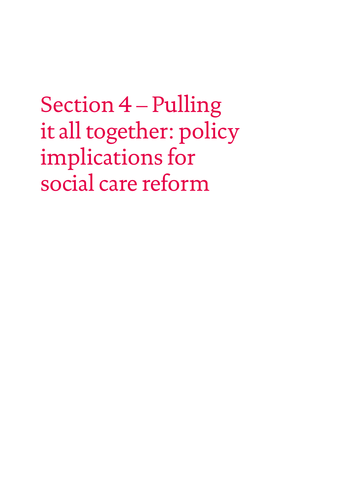<span id="page-41-0"></span>Section 4 – Pulling it all together: policy implications for social care reform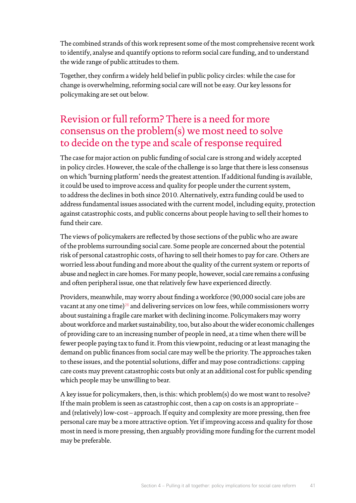The combined strands of this work represent some of the most comprehensive recent work to identify, analyse and quantify options to reform social care funding, and to understand the wide range of public attitudes to them.

Together, they confirm a widely held belief in public policy circles: while the case for change is overwhelming, reforming social care will not be easy. Our key lessons for policymaking are set out below.

## Revision orfull reform? There is a need for more consensus on the problem(s) we most need to solve to decide on the type and scale of response required

The case for major action on public funding of social care is strong and widely accepted in policy circles. However, the scale of the challenge is so large that there is less consensus on which 'burning platform' needs the greatest attention. If additional funding is available, it could be used to improve access and quality for people under the current system, to address the declines in both since 2010. Alternatively, extra funding could be used to address fundamental issues associated with the current model, including equity, protection against catastrophic costs, and public concerns about people having to sell their homes to fund their care.

The views of policymakers are reflected by those sections of the public who are aware of the problems surrounding social care. Some people are concerned about the potential risk of personal catastrophic costs, of having to sell their homes to pay for care. Others are worried less about funding and more about the quality of the current system or reports of abuse and neglect in care homes. For many people, however, social care remains a confusing and often peripheral issue*,* one that relatively few have experienced directly*.*

Providers, meanwhile, may worry about finding a workforce (90,000 social care jobs are vacant at any one time)<sup>26</sup> and delivering services on low fees, while commissioners worry about sustaining a fragile care market with declining income. Policymakers may worry about workforce and market sustainability, too, but also about the wider economic challenges of providing care to an increasing number of people in need, at a time when there will be fewer people paying tax to fund it. From this viewpoint, reducing or at least managing the demand on public finances from social care may well be the priority. The approaches taken to these issues, and the potential solutions, differ and may pose contradictions: capping care costs may prevent catastrophic costs but only at an additional cost for public spending which people may be unwilling to bear.

A key issue for policymakers, then, is this: which problem(s) do we most want to resolve? If the main problem is seen as catastrophic cost, then a cap on costs is an appropriate – and (relatively) low-cost – approach. If equity and complexity are more pressing, then free personal care may be a more attractive option. Yet if improving access and quality for those most in need is more pressing, then arguably providing more funding for the current model may be preferable.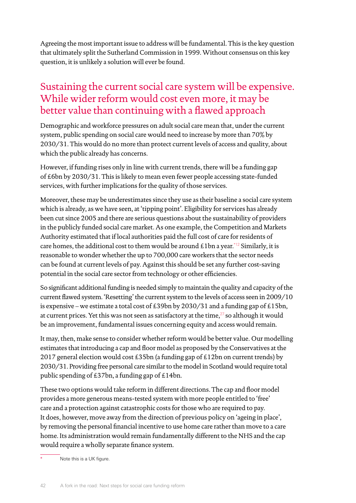Agreeing the most important issue to address will be fundamental. This is the key question that ultimately split the Sutherland Commission in 1999. Without consensus on this key question, it is unlikely a solution will ever be found.

### Sustaining the current social care system will be expensive. While wider reform would cost even more, it may be better value than continuing with a flawed approach

Demographic and workforce pressures on adult social care mean that, under the current system, public spending on social care would need to increase by more than 70% by 2030/31. This would do no more than protect current levels of access and quality, about which the public already has concerns.

However, if funding rises only in line with current trends, there will be a funding gap of £6bn by 2030/31. This is likely to mean even fewer people accessing state-funded services, with further implications for the quality of those services.

Moreover, these may be underestimates since they use as their baseline a social care system which is already, as we have seen, at 'tipping point'. Eligibility for services has already been cut since 2005 and there are serious questions about the sustainability of providers in the publicly funded social care market. As one example, the Competition and Markets Authority estimated that if local authorities paid the full cost of care for residents of care homes, the additional cost to them would be around  $£1$  bn a year.<sup>\*12</sup> Similarly, it is reasonable to wonder whether the up to 700,000 care workers that the sector needs can be found at current levels of pay. Against this should be set any further cost-saving potential in the social care sector from technology or other efficiencies.

So significant additional funding is needed simply to maintain the quality and capacity of the current flawed system. 'Resetting' the current system to the levels of access seen in 2009/10 is expensive – we estimate a total cost of £39bn by 2030/31 and a funding gap of £15bn, at current prices. Yet this was not seen as satisfactory at the time, $^{27}$  so although it would be an improvement, fundamental issues concerning equity and access would remain.

It may, then, make sense to consider whether reform would be better value. Our modelling estimates that introducing a cap and floor model as proposed by the Conservatives at the 2017 general election would cost £35bn (a funding gap of £12bn on current trends) by 2030/31. Providing free personal care similar to the model in Scotland would require total public spending of £37bn, a funding gap of £14bn.

These two options would take reform in different directions. The cap and floor model provides a more generous means-tested system with more people entitled to 'free' care and a protection against catastrophic costs for those who are required to pay. It does, however, move away from the direction of previous policy on 'ageing in place', by removing the personal financial incentive to use home care rather than move to a care home. Its administration would remain fundamentally different to the NHS and the cap would require a wholly separate finance system.

Note this is a UK figure.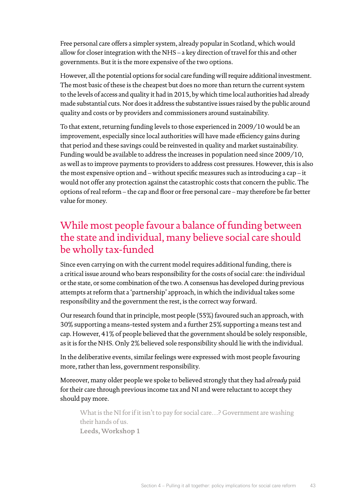Free personal care offers a simpler system, already popular in Scotland, which would allow for closer integration with the NHS – a key direction of travel for this and other governments. But it is the more expensive of the two options.

However, all the potential options for social care funding will require additional investment. The most basic of these is the cheapest but does no more than return the current system to the levels of access and quality it had in 2015, by which time local authorities had already made substantial cuts. Nor does it address the substantive issues raised by the public around quality and costs or by providers and commissioners around sustainability.

To that extent, returning funding levels to those experienced in 2009/10 would be an improvement, especially since local authorities will have made efficiency gains during that period and these savings could be reinvested in quality and market sustainability. Funding would be available to address the increases in population need since 2009/10, as well as to improve payments to providers to address cost pressures. However, this is also the most expensive option and – without specific measures such as introducing a cap – it would not offer any protection against the catastrophic costs that concern the public. The options of real reform – the cap and floor or free personal care – may therefore be far better value for money.

### While most people favour a balance of funding between the state and individual, many believe social care should be wholly tax-funded

Since even carrying on with the current model requires additional funding, there is a critical issue around who bears responsibility for the costs of social care: the individual or the state, or some combination of the two. A consensus has developed during previous attempts atreform that a 'partnership' approach, in which the individual takes some responsibility and the government the rest, is the correct way forward.

Our research found that in principle, most people (55%) favoured such an approach, with 30% supporting a means-tested system and a further 25% supporting a means test and cap. However, 41% of people believed that the government should be solely responsible, as it is for the NHS. Only 2% believed sole responsibility should lie with the individual.

In the deliberative events, similar feelings were expressed with most people favouring more, rather than less, government responsibility.

Moreover, many older people we spoke to believed strongly that they had *already* paid for their care through previous income tax and NI and were reluctant to accept they should pay more.

What is the NI for if it isn't to pay for social care…? Government are washing their hands of us. **Leeds, Workshop 1**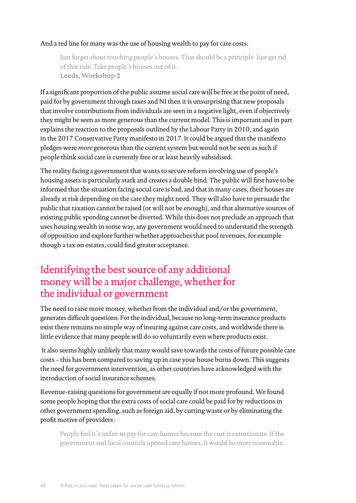#### And a red line for many was the use of housing wealth to pay for care costs:

Just forget about touching people's houses. That should be a principle. Just get rid of that rule. Take people's houses out of it. **Leeds, Workshop 2**

If a significant proportion of the public assume social care will be free at the point of need, paid for by government through taxes and NI then it is unsurprising that new proposals that involve contributions from individuals are seen in a negative light, even if objectively they might be seen as more generous than the current model. This is important and in part explains the reaction to the proposals outlined by the Labour Party in 2010, and again in the 2017 Conservative Party manifesto in 2017. It could be argued that the manifesto pledges were *more* generous than the current system but would not be seen as such if people think social care is currently free or at least heavily subsidised.

The reality facing a government that wants to secure reform involving use of people's housing assets is particularly stark and creates a double bind. The public will first have to be informed that the situation facing social care is bad, and that in many cases, their houses are already at risk depending on the care they might need. They will also have to persuade the public that taxation cannot be raised (or will not be enough), and that alternative sources of existing public spending cannot be diverted. While this does not preclude an approach that uses housing wealth in some way, any government would need to understand the strength of opposition and explore further whether approaches that pool revenues, for example though a tax on estates, could find greater acceptance.

### Identifying the best source of any additional money will be a major challenge, whether for the individual or government

The need to raise more money, whether from the individual and/or the government, generates difficult questions. For the individual, because no long-term insurance products exist there remains no simple way of insuring against care costs, and worldwide there is little evidence that many people will do so voluntarily even where products exist.

 It also seems highly unlikely that many would save towards the costs of future possible care costs – this has been compared to saving up in case your house burns down. This suggests the need for government intervention, as other countries have acknowledged with the introduction of social insurance schemes.

Revenue-raising questions for government are equally if not more profound. We found some people hoping that the extra costs of social care could be paid for by reductions in other government spending, such as foreign aid, by cutting waste or by eliminating the profit motive of providers:

People feel it's unfair to pay for care homes because the cost is extortionate. If the government and local councils opened care homes, it would be more reasonable.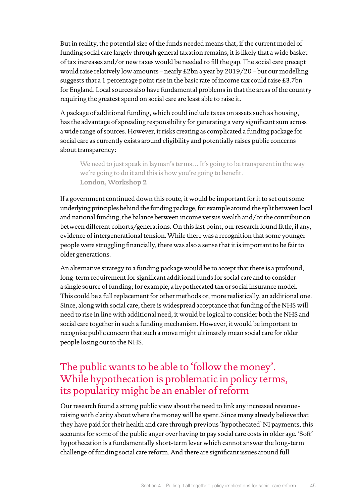But in reality, the potential size of the funds needed means that, if the current model of funding social care largely through general taxation remains, it is likely that a wide basket of tax increases and/or new taxes would be needed to fill the gap. The social care precept would raise relatively low amounts – nearly £2bn a year by 2019/20 – but our modelling suggests that a 1 percentage point rise in the basic rate of income tax could raise £3.7bn for England. Local sources also have fundamental problems in that the areas of the country requiring the greatest spend on social care are least able to raise it.

A package of additional funding, which could include taxes on assets such as housing, has the advantage of spreading responsibility for generating a very significant sum across a wide range of sources. However, itrisks creating as complicated a funding package for social care as currently exists around eligibility and potentially raises public concerns about transparency:

We need to just speak in layman's terms... It's going to be transparent in the way we're going to do it and this is how you're going to benefit. **London, Workshop 2**

If a government continued down this route, it would be important for it to set out some underlying principles behind the funding package, for example around the split between local and national funding, the balance between income versus wealth and/or the contribution between different cohorts/generations. On this last point, our research found little, if any, evidence of intergenerational tension. While there was a recognition that some younger people were struggling financially, there was also a sense that it is important to be fair to older generations.

An alternative strategy to a funding package would be to accept that there is a profound, long-term requirement for significant additional funds for social care and to consider a single source of funding; for example, a hypothecated tax or social insurance model. This could be a full replacement for other methods or, more realistically, an additional one. Since, along with social care, there is widespread acceptance that funding of the NHS will need to rise in line with additional need, it would be logical to consider both the NHS and social care together in such a funding mechanism. However, it would be important to recognise public concern that such a move might ultimately mean social care for older people losing out to the NHS.

## The public wants to be able to 'follow the money'. While hypothecation is problematic in policy terms, its popularity might be an enabler of reform

Our research found a strong public view about the need to link any increased revenueraising with clarity about where the money will be spent. Since many already believe that they have paid for their health and care through previous 'hypothecated' NI payments, this accounts for some of the public anger over having to pay social care costs in older age. 'Soft' hypothecation is a fundamentally short-term lever which cannot answer the long-term challenge of funding social care reform. And there are significant issues around full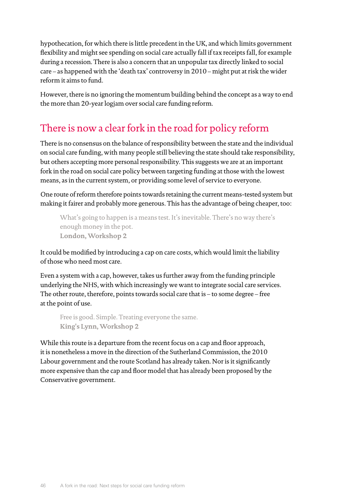hypothecation, for which there is little precedent in the UK, and which limits government flexibility and might see spending on social care actually fall if tax receipts fall, for example during a recession. There is also a concern that an unpopular tax directly linked to social care – as happened with the 'death tax' controversy in 2010 – might put atrisk the wider reform it aims to fund.

However, there is no ignoring the momentum building behind the concept as a way to end the more than 20-year logjam over social care funding reform.

## There is now a clear fork in the road for policy reform

There is no consensus on the balance of responsibility between the state and the individual on social care funding, with many people still believing the state should take responsibility, but others accepting more personal responsibility. This suggests we are at an important fork in the road on social care policy between targeting funding at those with the lowest means, as in the current system, or providing some level of service to everyone.

One route ofreform therefore points towards retaining the current means-tested system but making it fairer and probably more generous. This has the advantage of being cheaper, too:

What's going to happen is a means test. It's inevitable. There's no way there's enough money in the pot. **London, Workshop 2**

It could be modified by introducing a cap on care costs, which would limit the liability of those who need most care.

Even a system with a cap, however, takes us further away from the funding principle underlying the NHS, with which increasingly we want to integrate social care services. The other route, therefore, points towards social care that is – to some degree – free at the point of use.

Free is good. Simple. Treating everyone the same. **King's Lynn, Workshop 2**

While this route is a departure from the recent focus on a cap and floor approach, it is nonetheless a move in the direction of the Sutherland Commission, the 2010 Labour government and the route Scotland has already taken. Nor is it significantly more expensive than the cap and floor model that has already been proposed by the Conservative government.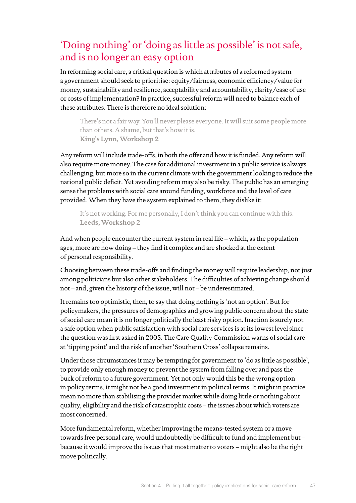## 'Doing nothing' or'doing as little as possible' is not safe, and is no longer an easy option

In reforming social care, a critical question is which attributes of a reformed system a government should seek to prioritise: equity/fairness, economic efficiency/value for money, sustainability and resilience, acceptability and accountability, clarity/ease of use or costs of implementation? In practice, successful reform will need to balance each of these attributes. There is therefore no ideal solution:

There's not a fair way. You'll never please everyone. It will suit some people more than others. A shame, but that's how it is. **King's Lynn, Workshop 2**

Any reform will include trade-offs, in both the offer and how it is funded. Any reform will also require more money. The case for additional investment in a public service is always challenging, but more so in the current climate with the government looking to reduce the national public deficit. Yet avoiding reform may also be risky. The public has an emerging sense the problems with social care around funding, workforce and the level of care provided. When they have the system explained to them, they dislike it:

It's not working. For me personally, I don't think you can continue with this. **Leeds, Workshop 2**

And when people encounter the current system in real life – which, as the population ages, more are now doing – they find it complex and are shocked at the extent of personal responsibility.

Choosing between these trade-offs and finding the money will require leadership, not just among politicians but also other stakeholders. The difficulties of achieving change should not – and, given the history of the issue, will not – be underestimated.

Itremains too optimistic, then, to say that doing nothing is 'not an option'. But for policymakers, the pressures of demographics and growing public concern about the state of social care mean it is no longer politically the least risky option. Inaction is surely not a safe option when public satisfaction with social care services is at its lowest level since the question was first asked in 2005. The Care Quality Commission warns of social care at 'tipping point' and the risk of another 'Southern Cross' collapse remains.

Under those circumstances it may be tempting for government to 'do as little as possible', to provide only enough money to prevent the system from falling over and pass the buck ofreform to a future government. Yet not only would this be the wrong option in policy terms, it might not be a good investment in political terms. It might in practice mean no more than stabilising the provider market while doing little or nothing about quality, eligibility and the risk of catastrophic costs – the issues about which voters are most concerned.

More fundamental reform, whether improving the means-tested system or a move towards free personal care, would undoubtedly be difficult to fund and implement but – because it would improve the issues that most matter to voters – might also be the right move politically.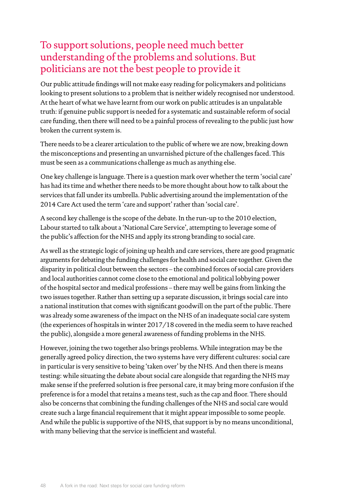## To support solutions, people need much better understanding of the problems and solutions. But politicians are not the best people to provide it

Our public attitude findings will not make easy reading for policymakers and politicians looking to present solutions to a problem that is neither widely recognised nor understood. At the heart of what we have learnt from our work on public attitudes is an unpalatable truth: if genuine public support is needed for a systematic and sustainable reform of social care funding, then there will need to be a painful process of revealing to the public just how broken the current system is.

There needs to be a clearer articulation to the public of where we are now, breaking down the misconceptions and presenting an unvarnished picture of the challenges faced. This must be seen as a communications challenge as much as anything else.

One key challenge is language. There is a question mark over whether the term 'social care' has had its time and whether there needs to be more thought about how to talk about the services that fall under its umbrella. Public advertising around the implementation of the 2014 Care Act used the term 'care and support' rather than 'social care'.

A second key challenge is the scope of the debate. In the run-up to the 2010 election, Labour started to talk about a 'National Care Service', attempting to leverage some of the public's affection for the NHS and apply its strong branding to social care.

As well as the strategic logic of joining up health and care services, there are good pragmatic arguments for debating the funding challenges for health and social care together. Given the disparity in political clout between the sectors – the combined forces of social care providers and local authorities cannot come close to the emotional and political lobbying power of the hospital sector and medical professions – there may well be gains from linking the two issues together. Rather than setting up a separate discussion, it brings social care into a national institution that comes with significant goodwill on the part of the public. There was already some awareness of the impact on the NHS of an inadequate social care system (the experiences of hospitals in winter 2017/18 covered in the media seem to have reached the public), alongside a more general awareness of funding problems in the NHS.

However, joining the two together also brings problems. While integration may be the generally agreed policy direction, the two systems have very different cultures: social care in particular is very sensitive to being 'taken over' by the NHS. And then there is means testing: while situating the debate about social care alongside that regarding the NHS may make sense if the preferred solution is free personal care, it may bring more confusion if the preference is for a model that retains a means test, such as the cap and floor. There should also be concerns that combining the funding challenges of the NHS and social care would create such a large financial requirement that it might appear impossible to some people. And while the public is supportive of the NHS, that support is by no means unconditional, with many believing that the service is inefficient and wasteful.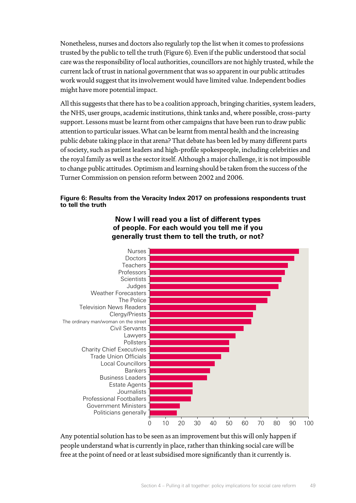Nonetheless, nurses and doctors also regularly top the list when it comes to professions trusted by the public to tell the truth (Figure 6). Even if the public understood that social care was the responsibility of local authorities, councillors are not highly trusted, while the current lack of trust in national government that was so apparent in our public attitudes work would suggest that its involvement would have limited value. Independent bodies might have more potential impact.

All this suggests that there has to be a coalition approach, bringing charities, system leaders, the NHS, user groups, academic institutions, think tanks and, where possible, cross-party support. Lessons must be learnt from other campaigns that have been run to draw public attention to particular issues. What can be learnt from mental health and the increasing public debate taking place in that arena? That debate has been led by many different parts of society, such as patient leaders and high-profile spokespeople, including celebrities and the royal family as well as the sector itself. Although a major challenge, it is not impossible to change public attitudes. Optimism and learning should be taken from the success of the Turner Commission on pension reform between 2002 and 2006.

#### **Figure 6: Results from the Veracity Index 2017 on professions respondents trust to tell the truth**



**Now I will read you a list of different types of people. For each would you tell me if you generally trust them to tell the truth, or not?**

Any potential solution has to be seen as an improvement but this will only happen if people understand what is currently in place, rather than thinking social care will be free at the point of need or at least subsidised more significantly than it currently is.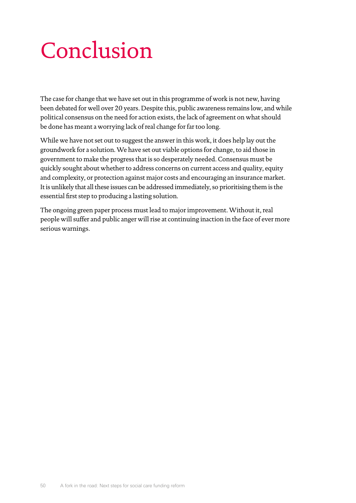## <span id="page-51-0"></span>Conclusion

The case for change that we have set out in this programme of work is not new, having been debated for well over 20 years. Despite this, public awareness remains low, and while political consensus on the need for action exists, the lack of agreement on what should be done has meant a worrying lack of real change for far too long.

While we have not set out to suggest the answer in this work, it does help lay out the groundwork for a solution. We have set out viable options for change, to aid those in government to make the progress that is so desperately needed. Consensus must be quickly sought about whether to address concerns on current access and quality, equity and complexity, or protection against major costs and encouraging an insurance market. Itis unlikely that all these issues can be addressed immediately, so prioritising them is the essential first step to producing a lasting solution.

The ongoing green paper process must lead to major improvement. Without it, real people will suffer and public anger will rise at continuing inaction in the face of ever more serious warnings.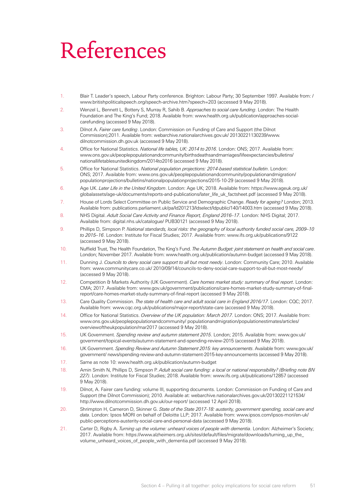## <span id="page-52-0"></span>References

- <span id="page-52-1"></span>1. Blair T. Leader's speech, Labour Party conference. Brighton: Labour Party; 30 September 1997. Available from: / www.britishpoliticalspeech.org/speech-archive.htm?speech=203 (accessed 9 May 2018).
- <span id="page-52-2"></span>2. Wenzel L, Bennett L, Bottery S, Murray R, Sahib B. *Approaches to social care funding*. London: The Health Foundation and The King's Fund; 2018. Available from: www.health.org.uk/publication/approaches-socialcarefunding (accessed 9 May 2018).
- <span id="page-52-3"></span>3. Dilnot A. *Fairer care funding*. London: Commission on Funding of Care and Support (the Dilnot Commission);2011. Available from: webarchive.nationalarchives.gov.uk/ 20130221130239/www. dilnotcommission.dh.gov.uk (accessed 9 May 2018).
- 4. Office for National Statistics. *National life tables, UK: 2014 to 2016*. London: ONS; 2017. Available from: [www.ons.gov.uk/peoplepopulationandcommunity/birthsdeathsandmarriages/lifeexpectancies/bulletins/](http://www.ons.gov.uk/peoplepopulationandcommunity/birthsdeathsandmarriages/lifeexpectancies/bulletins/nationallifetablesunitedkingdom/2014to2016) [nationallifetablesunitedkingdom/2014to2016](http://www.ons.gov.uk/peoplepopulationandcommunity/birthsdeathsandmarriages/lifeexpectancies/bulletins/nationallifetablesunitedkingdom/2014to2016) (accessed 9 May 2018).
- 5. Office for National Statistics. *National population projections: 2014-based statistical bulletin*. London: ONS; 2017. Available from: [www.ons.gov.uk/peoplepopulationandcommunity/populationandmigration/](http://www.ons.gov.uk/peoplepopulationandcommunity/populationandmigration/populationprojections/bulletins/nationalpopulationprojections/2015-10-29) [populationprojections/bulletins/nationalpopulationprojections/2015-10-29](http://www.ons.gov.uk/peoplepopulationandcommunity/populationandmigration/populationprojections/bulletins/nationalpopulationprojections/2015-10-29) (accessed 9 May 2018).
- 6. Age UK. *Later Life in the United Kingdom*. London: Age UK; 2018. Available from: [https://www.ageuk.org.uk/](https://www.ageuk.org.uk/globalassets/age-uk/documents/reports-and-publications/later_life_uk_factsheet.pdf) [globalassets/age-uk/documents/reports-and-publications/later\\_life\\_uk\\_factsheet.pdf](https://www.ageuk.org.uk/globalassets/age-uk/documents/reports-and-publications/later_life_uk_factsheet.pdf) (accessed 9 May 2018).
- 7. House of Lords Select Committee on Public Service and Demographic Change. *Ready for ageing?* London; 2013. Available from: [publications.parliament.uk/pa/ld201213/ldselect/ldpublic/140/14003.htm](http://publications.parliament.uk/pa/ld201213/ldselect/ldpublic/140/14003.htm) (accessed 9 May 2018).
- 8. NHS Digital. *Adult Social Care Activity and Finance Report, England 2016–17*. London: NHS Digital; 2017. Available from: [digital.nhs.uk/catalogue/](http://digital.nhs.uk/catalogue/) PUB30121 (accessed 9 May 2018).
- 9. Phillips D, Simpson P. *National standards, local risks: the geography of local authority funded social care, 2009–10 to 2015–16*. London: Institute for Fiscal Studies; 2017. Available from: [www.ifs.org.uk/publications/9122](http://www.ifs.org.uk/publications/9122) (accessed 9 May 2018).
- 10. Nuffield Trust, The Health Foundation, The King's Fund. *The Autumn Budget: joint statement on health and social care*. London; November 2017. Available from: [www.health.org.uk/publication/autumn-budget](http://www.health.org.uk/publication/autumn-budget) (accessed 9 May 2018).
- 11. Dunning J. *Councils to deny social care support to all but most needy*. London: Community Care; 2010. Available from: [www.communitycare.co.uk/](http://www.communitycare.co.uk/) 2010/09/14/councils-to-deny-social-care-support-to-all-but-most-needy/ (accessed 9 May 2018).
- 12. Competition & Markets Authority (UK Government). *Care homes market study: summary of final report*. London: CMA; 2017. Available from: [www.gov.uk/government/publications/care-homes-market-study-summary-of-final](http://www.gov.uk/government/publications/care-homes-market-study-summary-of-final-report/care-homes-market-study-summary-of-final-report)[report/care-homes-market-study-summary-of-final-report](http://www.gov.uk/government/publications/care-homes-market-study-summary-of-final-report/care-homes-market-study-summary-of-final-report) (accessed 9 May 2018).
- 13. Care Quality Commission. *The state of health care and adult social care in England 2016/17*. London: CQC; 2017. Available from: [www.cqc.org.uk/publications/major-report/state-care](http://www.cqc.org.uk/publications/major-report/state-care) (accessed 9 May 2018).
- 14. Office for National Statistics. *Overview of the UK population: March 2017*. London: ONS; 2017. Available from: [www.ons.gov.uk/peoplepopulationandcommunity/](http://www.ons.gov.uk/peoplepopulationandcommunity/) populationandmigration/populationestimates/articles/ overviewoftheukpopulation/mar2017 (accessed 9 May 2018).
- 15. UK Government. *Spending review and autumn statement 2015*. London; 2015. Available from: [www.gov.uk/](http://www.gov.uk/government/topical-events/autumn-statement-and-spending-review-2015) [government/topical-events/autumn-statement-and-spending-review-2015](http://www.gov.uk/government/topical-events/autumn-statement-and-spending-review-2015) (accessed 9 May 2018).
- 16. UK Government. *Spending Review and Autumn Statement 2015: key announcements*. Available from: [www.gov.uk/](http://www.gov.uk/government/) [government/](http://www.gov.uk/government/) news/spending-review-and-autumn-statement-2015-key-announcements (accessed 9 May 2018).
- 17. Same as note 10: [www.health.org.uk/publication/autumn-budget](http://www.health.org.uk/publication/autumn-budget)
- 18. Amin Smith N, Phillips D, Simpson P. *Adult social care funding: a local or national responsibility? (Briefing note BN 227)*. London: Institute for Fiscal Studies; 2018. Available from: [www.ifs.org.uk/publications/12857](http://www.ifs.org.uk/publications/12857) (accessed 9 May 2018).
- 19. Dilnot, A. Fairer care funding: volume III, supporting documents. London: Commission on Funding of Care and Support (the Dilnot Commission); 2010. Available at: [webarchive.nationalarchives.gov.uk/20130221121534/](http://webarchive.nationalarchives.gov.uk/20130221121534/http) [http](http://webarchive.nationalarchives.gov.uk/20130221121534/http)://[www.dilnotcommission.dh.gov.uk/our-report/](http://www.dilnotcommission.dh.gov.uk/our-report/) (accessed 12 April 2018).
- 20. Shrimpton H, Cameron D, Skinner G. *State of the State 2017-18: austerity, government spending, social care and data*. London: Ipsos MORI on behalf of Deloitte LLP; 2017. Available from: [www.ipsos.com/ipsos-mori/en-uk/](http://www.ipsos.com/ipsos-mori/en-uk/public-perceptions-austerity-social-care-and-personal-data) [public-perceptions-austerity-social-care-and-personal-data](http://www.ipsos.com/ipsos-mori/en-uk/public-perceptions-austerity-social-care-and-personal-data) (accessed 9 May 2018).
- 21. Carter D, Rigby A. *Turning up the volume: unheard voices of people with dementia*. London: Alzheimer's Society; 2017. Available from: [https://www.alzheimers.org.uk/sites/default/files/migrate/downloads/turning\\_up\\_the\\_](https://www.alzheimers.org.uk/sites/default/files/migrate/downloads/turning_up_the_volume_unheard_voices_of_people_with_dementia.pdf) [volume\\_unheard\\_voices\\_of\\_people\\_with\\_dementia.pdf](https://www.alzheimers.org.uk/sites/default/files/migrate/downloads/turning_up_the_volume_unheard_voices_of_people_with_dementia.pdf) (accessed 9 May 2018).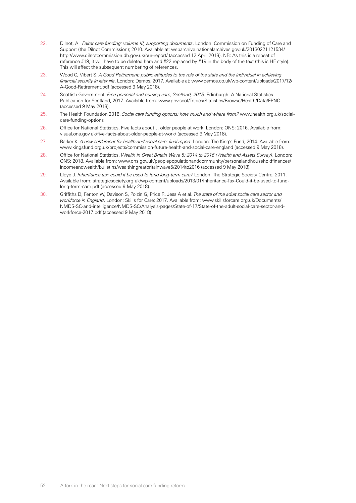- 22. Dilnot, A. *Fairer care funding: volume III, supporting documents*. London: Commission on Funding of Care and Support (the Dilnot Commission); 2010. Available at: [webarchive.nationalarchives.gov.uk/20130221121534/](http://webarchive.nationalarchives.gov.uk/20130221121534/http) [http:](http://webarchive.nationalarchives.gov.uk/20130221121534/http)/[/www.dilnotcommission.dh.gov.uk/our-report/](http://www.dilnotcommission.dh.gov.uk/our-report/) (accessed 12 April 2018). NB: As this is a repeat of reference #19, it will have to be deleted here and #22 replaced by #19 in the body of the text (this is HF style). This will affect the subsequent numbering of references.
- 23. Wood C, Vibert S. *A Good Retirement: public attitudes to the role of the state and the individual in achieving financial security in later life*. London: Demos; 2017. Available at: [www.demos.co.uk/wp-content/uploads/2017/12/](http://www.demos.co.uk/wp-content/uploads/2017/12/A-Good-Retirement.pdf) [A-Good-Retirement.pdf](http://www.demos.co.uk/wp-content/uploads/2017/12/A-Good-Retirement.pdf) (accessed 9 May 2018).
- 24. Scottish Government. *Free personal and nursing care, Scotland, 2015*. Edinburgh: A National Statistics Publication for Scotland; 2017. Available from: [www.gov](http://www.gov).scot/Topics/Statistics/Browse/Health/Data/FPNC (accessed 9 May 2018).
- 25. The Health Foundation 2018. *Social care funding options: how much and where from?* www.health.org.uk/socialcare-funding-options
- 26. Office for National Statistics. Five facts about… older people at work. London: ONS; 2016. Available from: [visual.ons.gov.uk/five-facts-about-older-people-at-work/](http://visual.ons.gov.uk/five-facts-about-older-people-at-work/) (accessed 9 May 2018).
- 27. Barker K. *A new settlement for health and social care: final report*. London: The King's Fund; 2014. Available from: [www.kingsfund.org.uk/projects/commission-future-health-and-social-care-england](http://www.kingsfund.org.uk/projects/commission-future-health-and-social-care-england) (accessed 9 May 2018).
- 28. Office for National Statistics. *Wealth in Great Britain Wave 5: 2014 to 2016 (Wealth and Assets Survey)*. London: ONS; 2018. Available from: [www.ons.gov.uk/peoplepopulationandcommunity/personalandhouseholdfinances/](http://www.ons.gov.uk/peoplepopulationandcommunity/personalandhouseholdfinances/incomeandwealth/bulletins/wealthingreatbritainwave5/2014to2016) [incomeandwealth/bulletins/wealthingreatbritainwave5/2014to2016](http://www.ons.gov.uk/peoplepopulationandcommunity/personalandhouseholdfinances/incomeandwealth/bulletins/wealthingreatbritainwave5/2014to2016) (accessed 9 May 2018).
- 29. Lloyd J. *Inheritance tax: could it be used to fund long-term care?* London: The Strategic Society Centre; 2011. Available from: [strategicsociety.org.uk/wp-content/uploads/2013/01/Inheritance-Tax-Could-it-be-used-to-fund](http://strategicsociety.org.uk/wp-content/uploads/2013/01/Inheritance-Tax-Could-it-be-used-to-fund-long-term-care.pdf)[long-term-care.pdf](http://strategicsociety.org.uk/wp-content/uploads/2013/01/Inheritance-Tax-Could-it-be-used-to-fund-long-term-care.pdf) (accessed 9 May 2018).
- 30. Griffiths D, Fenton W, Davison S, Polzin G, Price R, Jess A et al. *The state of the adult social care sector and workforce in England*. London: Skills for Care; 2017. Available from: [www.skillsforcare.org.uk/Documents/](http://www.skillsforcare.org.uk/Documents/NMDS-SC-and-intelligence/NMDS-SC/Analysis-pages/State-of-17/State-of-the-adult-social-care-sector-and-workforce-2017.pdf) [NMDS-SC-and-intelligence/NMDS-SC/Analysis-pages/State-of-17/State-of-the-adult-social-care-sector-and](http://www.skillsforcare.org.uk/Documents/NMDS-SC-and-intelligence/NMDS-SC/Analysis-pages/State-of-17/State-of-the-adult-social-care-sector-and-workforce-2017.pdf)[workforce-2017.pdf](http://www.skillsforcare.org.uk/Documents/NMDS-SC-and-intelligence/NMDS-SC/Analysis-pages/State-of-17/State-of-the-adult-social-care-sector-and-workforce-2017.pdf) (accessed 9 May 2018).